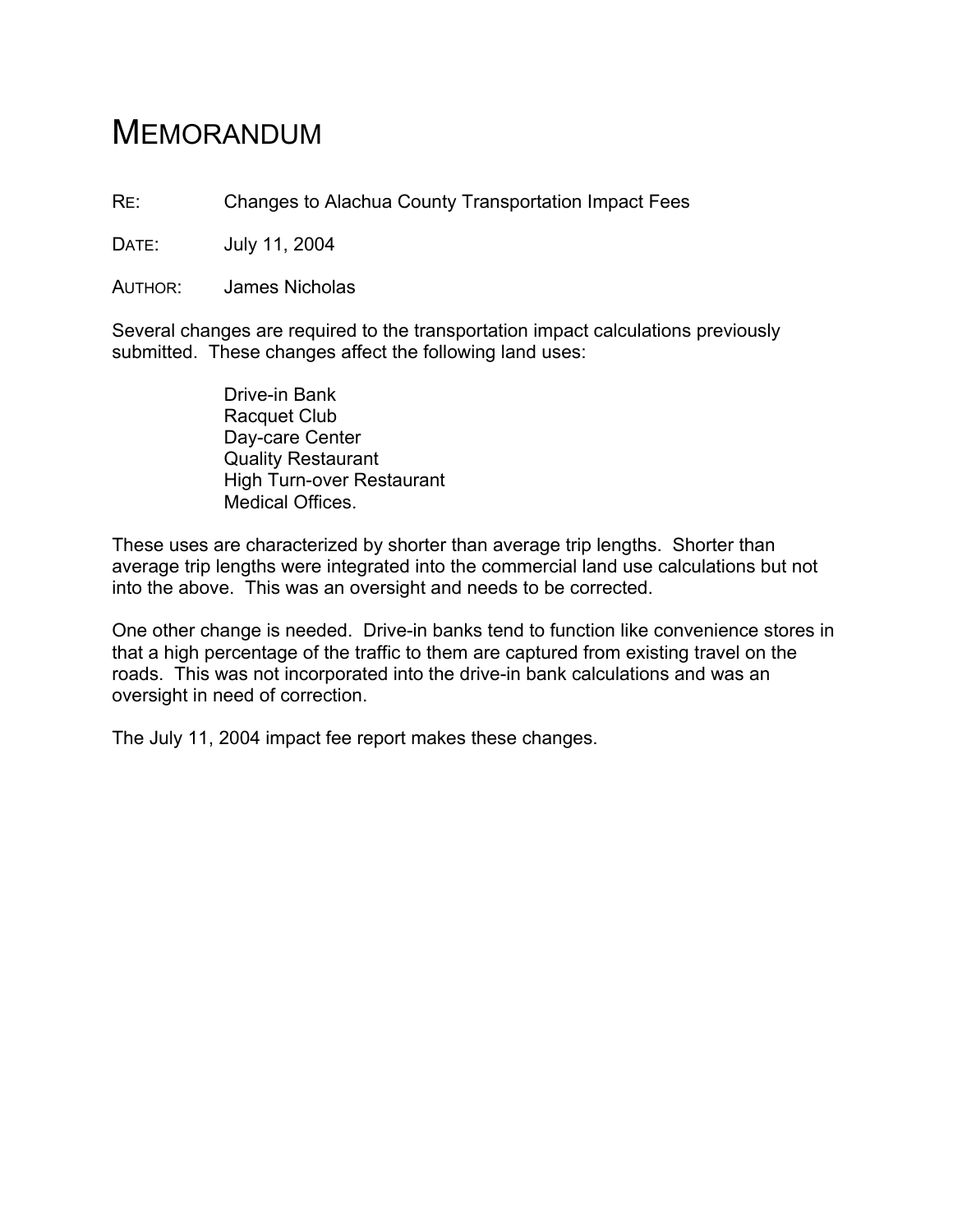## MEMORANDUM

RE: Changes to Alachua County Transportation Impact Fees

DATE: July 11, 2004

AUTHOR: James Nicholas

Several changes are required to the transportation impact calculations previously submitted. These changes affect the following land uses:

> Drive-in Bank Racquet Club Day-care Center Quality Restaurant High Turn-over Restaurant Medical Offices.

These uses are characterized by shorter than average trip lengths. Shorter than average trip lengths were integrated into the commercial land use calculations but not into the above. This was an oversight and needs to be corrected.

One other change is needed. Drive-in banks tend to function like convenience stores in that a high percentage of the traffic to them are captured from existing travel on the roads. This was not incorporated into the drive-in bank calculations and was an oversight in need of correction.

The July 11, 2004 impact fee report makes these changes.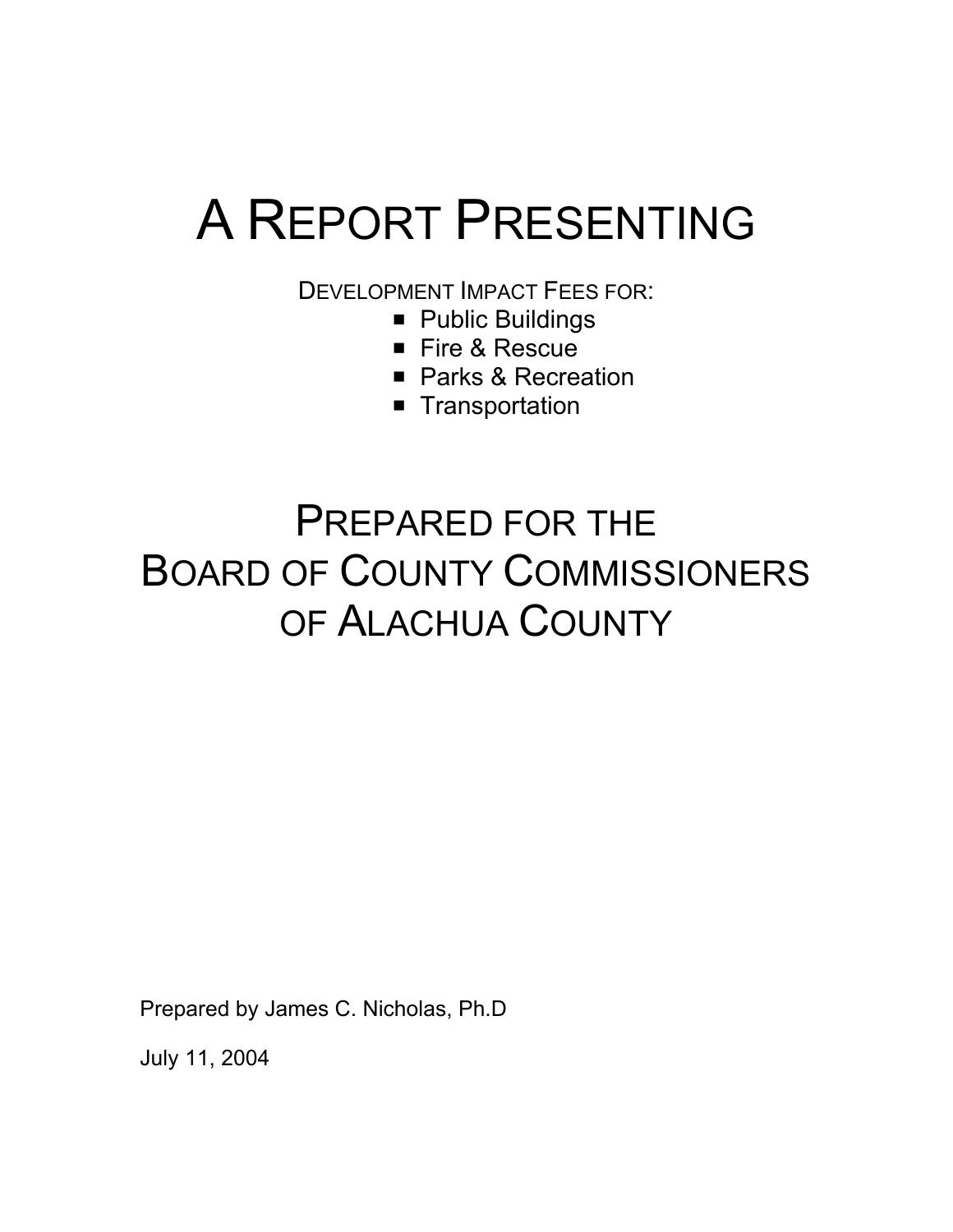# A REPORT PRESENTING

DEVELOPMENT IMPACT FEES FOR:

- **Public Buildings**
- Fire & Rescue
- Parks & Recreation
- **Transportation**

## PREPARED FOR THE BOARD OF COUNTY COMMISSIONERS OF ALACHUA COUNTY

Prepared by James C. Nicholas, Ph.D

July 11, 2004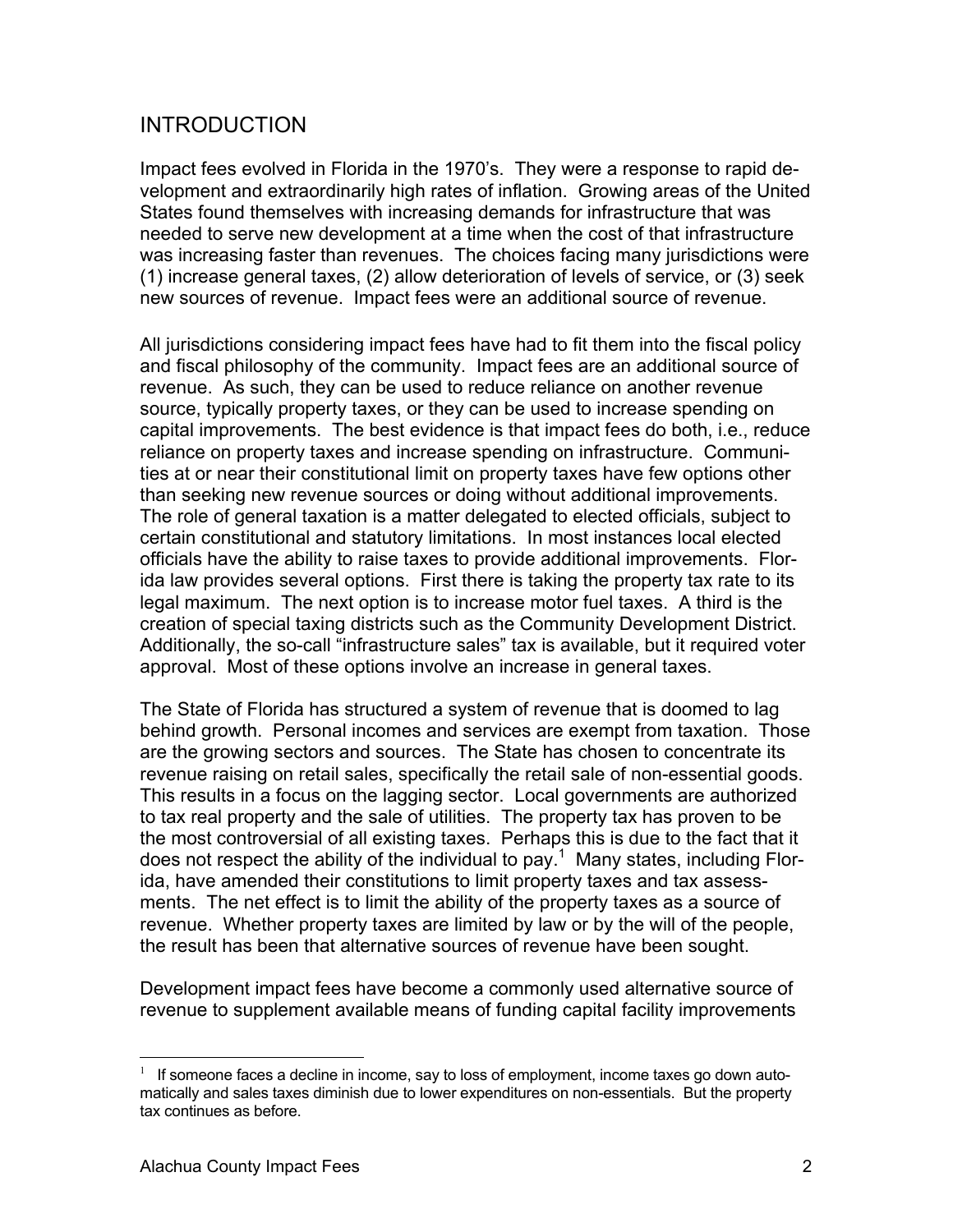#### INTRODUCTION

Impact fees evolved in Florida in the 1970's. They were a response to rapid development and extraordinarily high rates of inflation. Growing areas of the United States found themselves with increasing demands for infrastructure that was needed to serve new development at a time when the cost of that infrastructure was increasing faster than revenues. The choices facing many jurisdictions were (1) increase general taxes, (2) allow deterioration of levels of service, or (3) seek new sources of revenue. Impact fees were an additional source of revenue.

All jurisdictions considering impact fees have had to fit them into the fiscal policy and fiscal philosophy of the community. Impact fees are an additional source of revenue. As such, they can be used to reduce reliance on another revenue source, typically property taxes, or they can be used to increase spending on capital improvements. The best evidence is that impact fees do both, i.e., reduce reliance on property taxes and increase spending on infrastructure. Communities at or near their constitutional limit on property taxes have few options other than seeking new revenue sources or doing without additional improvements. The role of general taxation is a matter delegated to elected officials, subject to certain constitutional and statutory limitations. In most instances local elected officials have the ability to raise taxes to provide additional improvements. Florida law provides several options. First there is taking the property tax rate to its legal maximum. The next option is to increase motor fuel taxes. A third is the creation of special taxing districts such as the Community Development District. Additionally, the so-call "infrastructure sales" tax is available, but it required voter approval. Most of these options involve an increase in general taxes.

The State of Florida has structured a system of revenue that is doomed to lag behind growth. Personal incomes and services are exempt from taxation. Those are the growing sectors and sources. The State has chosen to concentrate its revenue raising on retail sales, specifically the retail sale of non-essential goods. This results in a focus on the lagging sector. Local governments are authorized to tax real property and the sale of utilities. The property tax has proven to be the most controversial of all existing taxes. Perhaps this is due to the fact that it does not respect the ability of the individual to pay.<sup>1</sup> Many states, including Florida, have amended their constitutions to limit property taxes and tax assessments. The net effect is to limit the ability of the property taxes as a source of revenue. Whether property taxes are limited by law or by the will of the people, the result has been that alternative sources of revenue have been sought.

Development impact fees have become a commonly used alternative source of revenue to supplement available means of funding capital facility improvements

 $\overline{a}$ 

 $1$  If someone faces a decline in income, say to loss of employment, income taxes go down automatically and sales taxes diminish due to lower expenditures on non-essentials. But the property tax continues as before.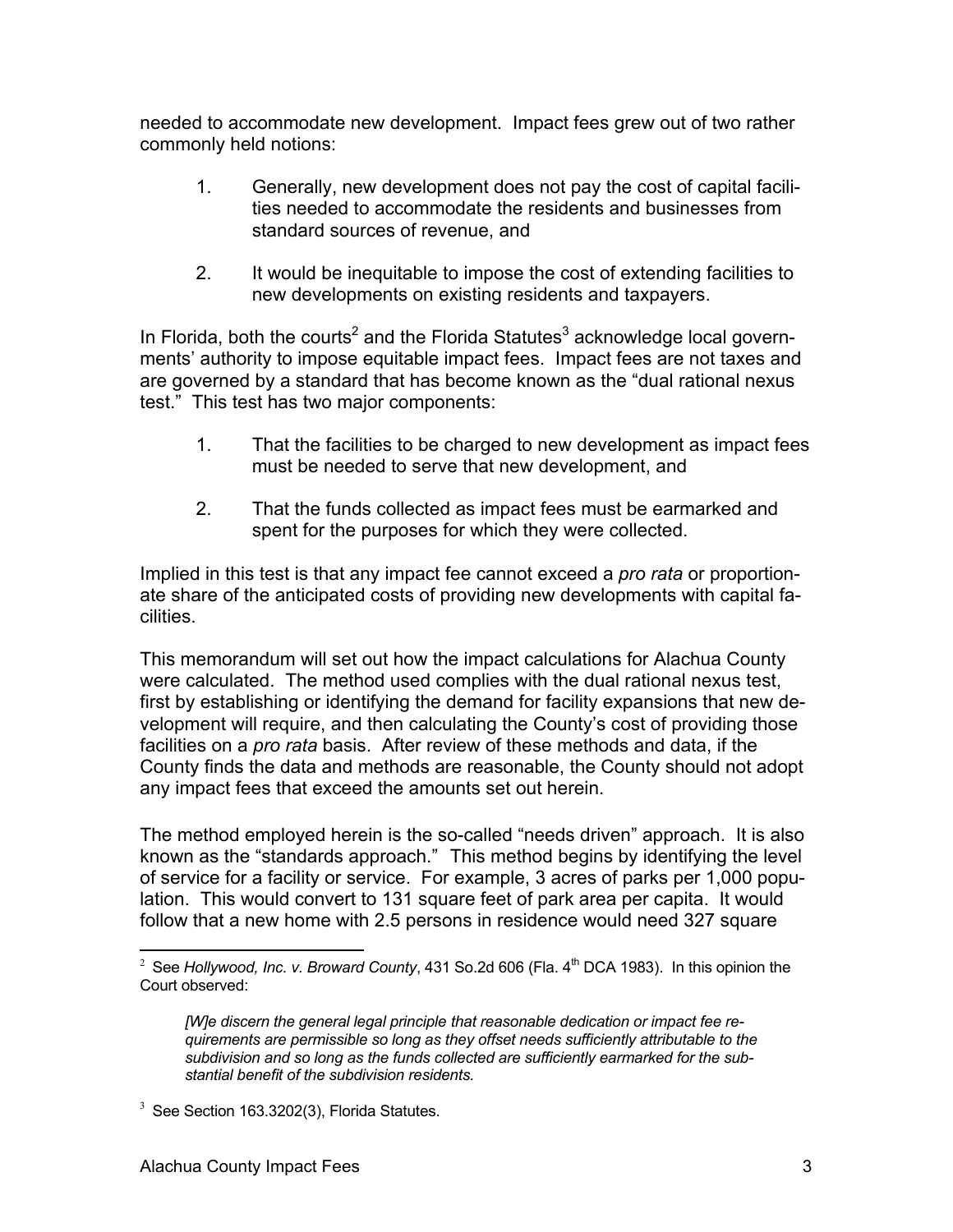needed to accommodate new development. Impact fees grew out of two rather commonly held notions:

- 1. Generally, new development does not pay the cost of capital facilities needed to accommodate the residents and businesses from standard sources of revenue, and
- 2. It would be inequitable to impose the cost of extending facilities to new developments on existing residents and taxpayers.

In Florida, both the courts<sup>2</sup> and the Florida Statutes<sup>3</sup> acknowledge local governments' authority to impose equitable impact fees. Impact fees are not taxes and are governed by a standard that has become known as the "dual rational nexus test." This test has two major components:

- 1. That the facilities to be charged to new development as impact fees must be needed to serve that new development, and
- 2. That the funds collected as impact fees must be earmarked and spent for the purposes for which they were collected.

Implied in this test is that any impact fee cannot exceed a *pro rata* or proportionate share of the anticipated costs of providing new developments with capital facilities.

This memorandum will set out how the impact calculations for Alachua County were calculated. The method used complies with the dual rational nexus test, first by establishing or identifying the demand for facility expansions that new development will require, and then calculating the County's cost of providing those facilities on a *pro rata* basis. After review of these methods and data, if the County finds the data and methods are reasonable, the County should not adopt any impact fees that exceed the amounts set out herein.

The method employed herein is the so-called "needs driven" approach. It is also known as the "standards approach." This method begins by identifying the level of service for a facility or service. For example, 3 acres of parks per 1,000 population. This would convert to 131 square feet of park area per capita. It would follow that a new home with 2.5 persons in residence would need 327 square

<sup>1</sup> <sup>2</sup> See *Hollywood, Inc. v. Broward County*, 431 So.2d 606 (Fla. 4<sup>th</sup> DCA 1983). In this opinion the Court observed:

*<sup>[</sup>W]e discern the general legal principle that reasonable dedication or impact fee requirements are permissible so long as they offset needs sufficiently attributable to the subdivision and so long as the funds collected are sufficiently earmarked for the substantial benefit of the subdivision residents.*

 $3$  See Section 163.3202(3), Florida Statutes.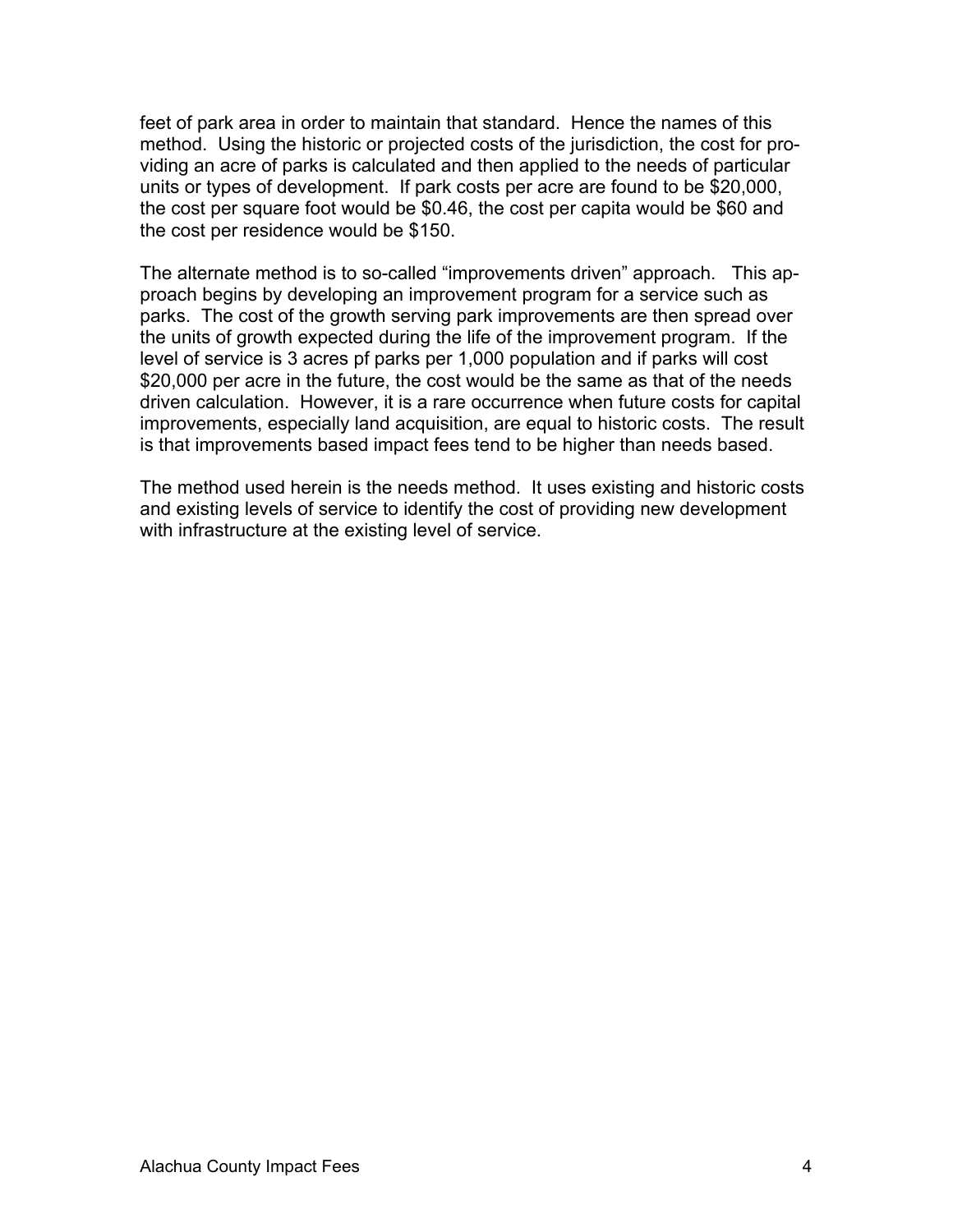feet of park area in order to maintain that standard. Hence the names of this method. Using the historic or projected costs of the jurisdiction, the cost for providing an acre of parks is calculated and then applied to the needs of particular units or types of development. If park costs per acre are found to be \$20,000, the cost per square foot would be \$0.46, the cost per capita would be \$60 and the cost per residence would be \$150.

The alternate method is to so-called "improvements driven" approach. This approach begins by developing an improvement program for a service such as parks. The cost of the growth serving park improvements are then spread over the units of growth expected during the life of the improvement program. If the level of service is 3 acres pf parks per 1,000 population and if parks will cost \$20,000 per acre in the future, the cost would be the same as that of the needs driven calculation. However, it is a rare occurrence when future costs for capital improvements, especially land acquisition, are equal to historic costs. The result is that improvements based impact fees tend to be higher than needs based.

The method used herein is the needs method. It uses existing and historic costs and existing levels of service to identify the cost of providing new development with infrastructure at the existing level of service.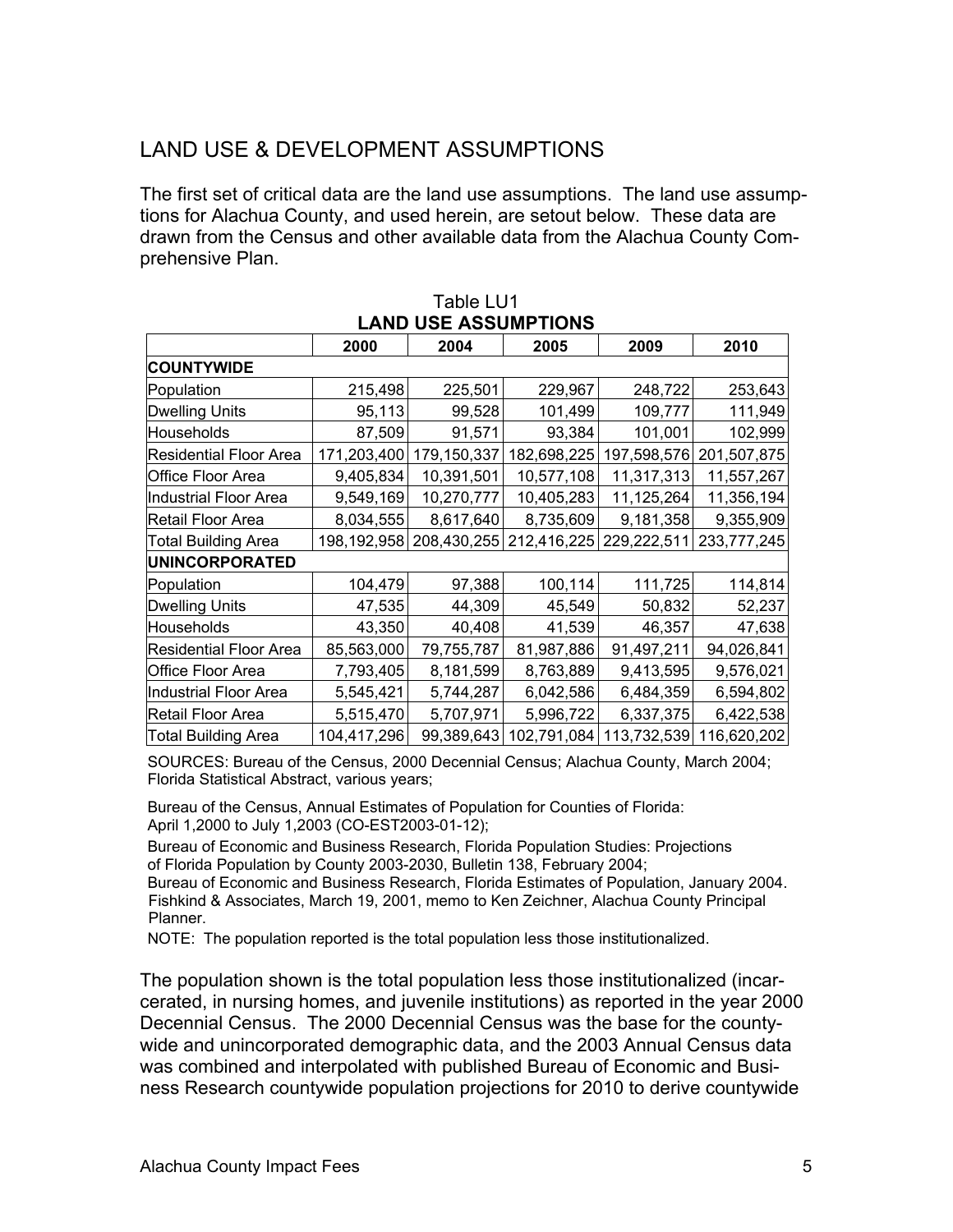### LAND USE & DEVELOPMENT ASSUMPTIONS

The first set of critical data are the land use assumptions. The land use assumptions for Alachua County, and used herein, are setout below. These data are drawn from the Census and other available data from the Alachua County Comprehensive Plan.

| UUL AUUUIIII<br>טוועו         |             |             |                         |             |             |  |  |
|-------------------------------|-------------|-------------|-------------------------|-------------|-------------|--|--|
|                               | 2000        | 2004        | 2005                    | 2009        | 2010        |  |  |
| <b>COUNTYWIDE</b>             |             |             |                         |             |             |  |  |
| Population                    | 215,498     | 225,501     | 229,967                 | 248,722     | 253,643     |  |  |
| <b>Dwelling Units</b>         | 95,113      | 99,528      | 101,499                 | 109,777     | 111,949     |  |  |
| Households                    | 87,509      | 91,571      | 93,384                  | 101,001     | 102,999     |  |  |
| <b>Residential Floor Area</b> | 171,203,400 | 179,150,337 | 182,698,225             | 197,598,576 | 201,507,875 |  |  |
| Office Floor Area             | 9,405,834   | 10,391,501  | 10,577,108              | 11,317,313  | 11,557,267  |  |  |
| Industrial Floor Area         | 9,549,169   | 10,270,777  | 10,405,283              | 11,125,264  | 11,356,194  |  |  |
| Retail Floor Area             | 8,034,555   | 8,617,640   | 8,735,609               | 9,181,358   | 9,355,909   |  |  |
| <b>Total Building Area</b>    | 198,192,958 |             | 208,430,255 212,416,225 | 229,222,511 | 233,777,245 |  |  |
| <b>UNINCORPORATED</b>         |             |             |                         |             |             |  |  |
| Population                    | 104,479     | 97,388      | 100,114                 | 111,725     | 114,814     |  |  |
| <b>Dwelling Units</b>         | 47,535      | 44,309      | 45,549                  | 50,832      | 52,237      |  |  |
| Households                    | 43,350      | 40,408      | 41,539                  | 46,357      | 47,638      |  |  |
| <b>Residential Floor Area</b> | 85,563,000  | 79,755,787  | 81,987,886              | 91,497,211  | 94,026,841  |  |  |
| <b>Office Floor Area</b>      | 7,793,405   | 8,181,599   | 8,763,889               | 9,413,595   | 9,576,021   |  |  |
| Industrial Floor Area         | 5,545,421   | 5,744,287   | 6,042,586               | 6,484,359   | 6,594,802   |  |  |
| Retail Floor Area             | 5,515,470   | 5,707,971   | 5,996,722               | 6,337,375   | 6,422,538   |  |  |
| <b>Total Building Area</b>    | 104,417,296 | 99,389,643  | 102,791,084             | 113,732,539 | 116,620,202 |  |  |

#### Table LU1 **LAND USE ASSUMPTIONS**

SOURCES: Bureau of the Census, 2000 Decennial Census; Alachua County, March 2004; Florida Statistical Abstract, various years;

Bureau of the Census, Annual Estimates of Population for Counties of Florida: April 1,2000 to July 1,2003 (CO-EST2003-01-12);

Bureau of Economic and Business Research, Florida Population Studies: Projections of Florida Population by County 2003-2030, Bulletin 138, February 2004;

Bureau of Economic and Business Research, Florida Estimates of Population, January 2004. Fishkind & Associates, March 19, 2001, memo to Ken Zeichner, Alachua County Principal Planner.

NOTE: The population reported is the total population less those institutionalized.

The population shown is the total population less those institutionalized (incarcerated, in nursing homes, and juvenile institutions) as reported in the year 2000 Decennial Census. The 2000 Decennial Census was the base for the countywide and unincorporated demographic data, and the 2003 Annual Census data was combined and interpolated with published Bureau of Economic and Business Research countywide population projections for 2010 to derive countywide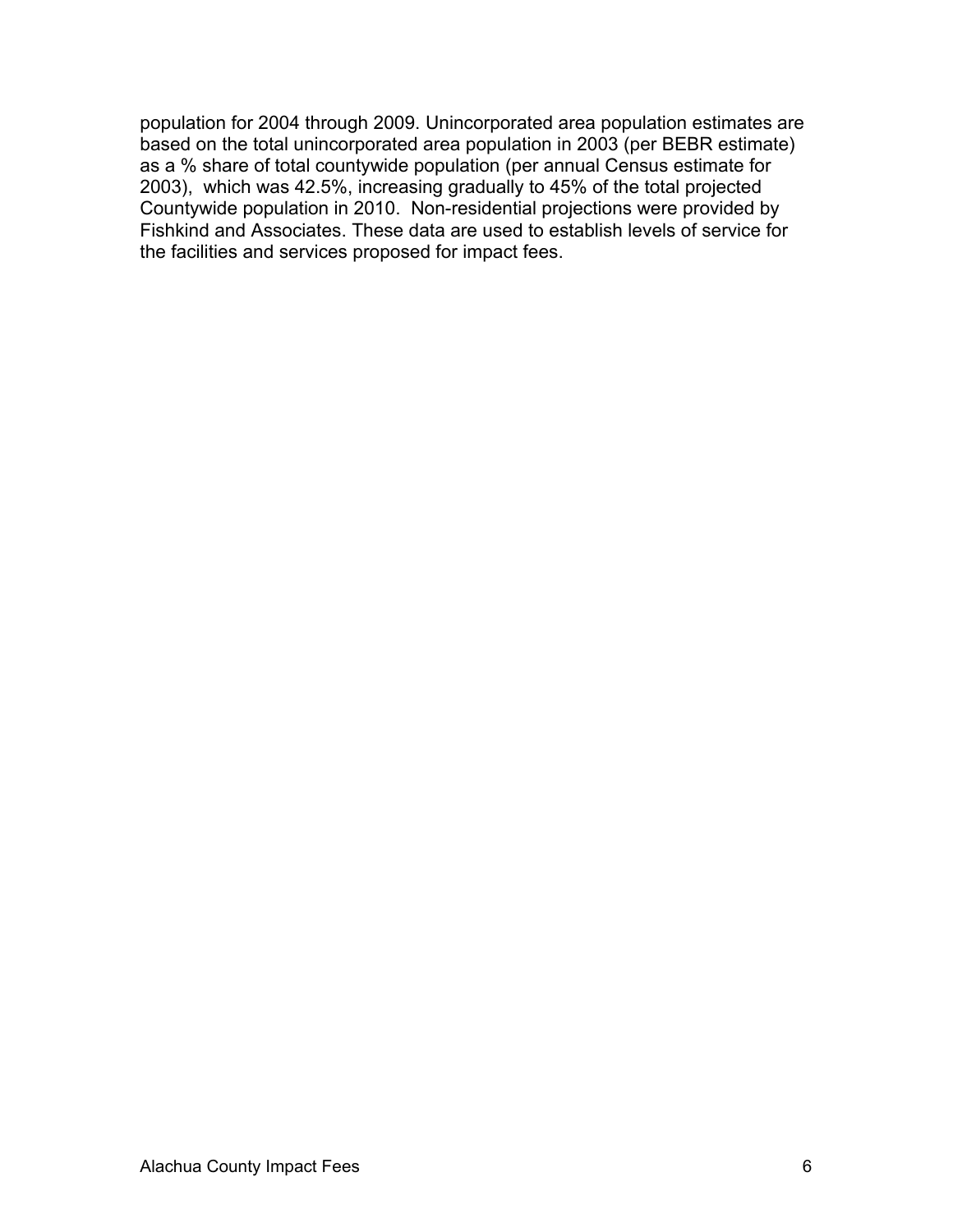population for 2004 through 2009. Unincorporated area population estimates are based on the total unincorporated area population in 2003 (per BEBR estimate) as a % share of total countywide population (per annual Census estimate for 2003), which was 42.5%, increasing gradually to 45% of the total projected Countywide population in 2010. Non-residential projections were provided by Fishkind and Associates. These data are used to establish levels of service for the facilities and services proposed for impact fees.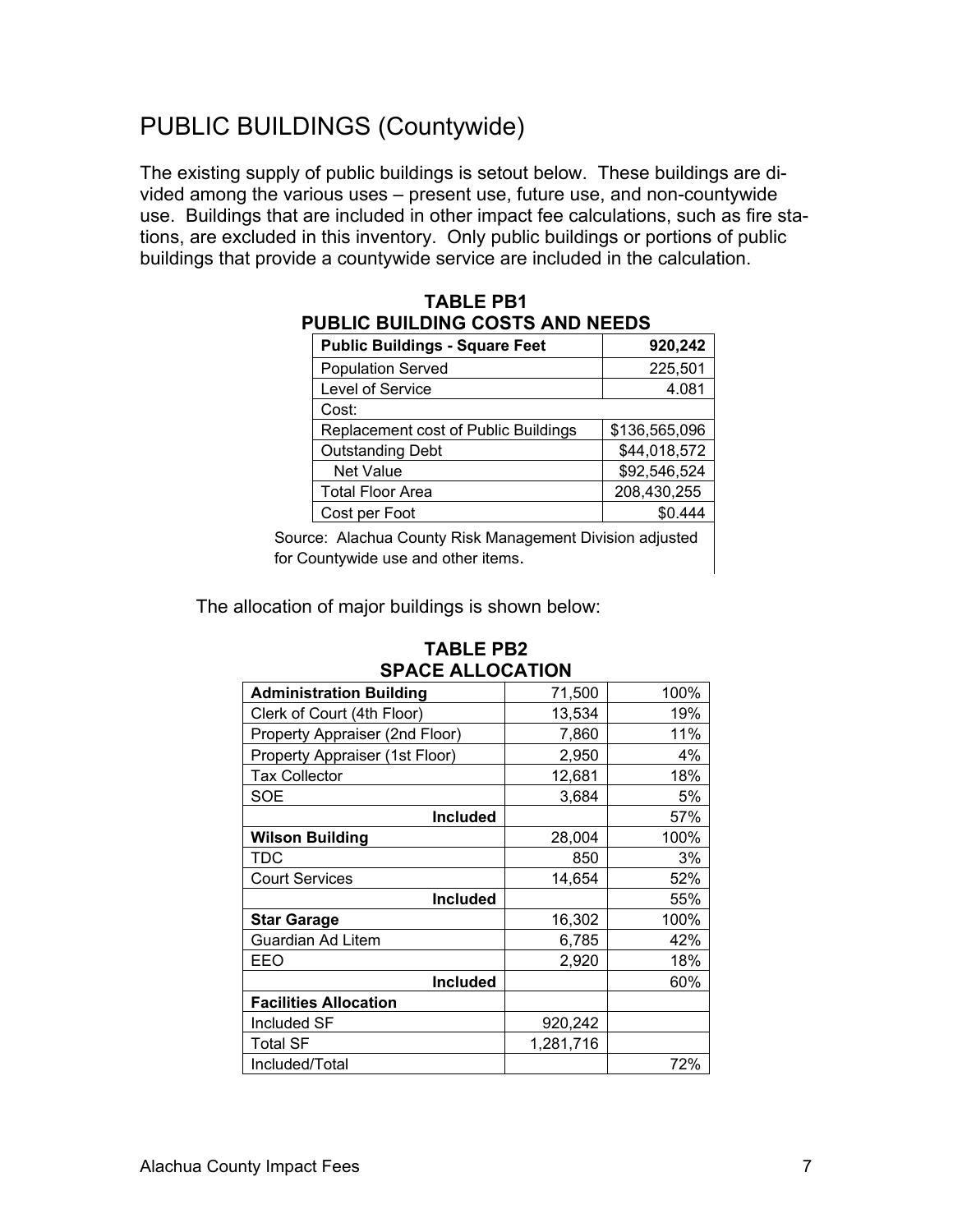## PUBLIC BUILDINGS (Countywide)

The existing supply of public buildings is setout below. These buildings are divided among the various uses – present use, future use, and non-countywide use. Buildings that are included in other impact fee calculations, such as fire stations, are excluded in this inventory. Only public buildings or portions of public buildings that provide a countywide service are included in the calculation.

| <b>Public Buildings - Square Feet</b> | 920,242       |  |  |  |  |
|---------------------------------------|---------------|--|--|--|--|
| <b>Population Served</b>              | 225,501       |  |  |  |  |
| Level of Service                      | 4.081         |  |  |  |  |
| Cost:                                 |               |  |  |  |  |
| Replacement cost of Public Buildings  | \$136,565,096 |  |  |  |  |
| <b>Outstanding Debt</b>               | \$44,018,572  |  |  |  |  |
| <b>Net Value</b>                      | \$92,546,524  |  |  |  |  |
| Total Floor Area                      | 208,430,255   |  |  |  |  |
| Cost per Foot                         | \$0.444       |  |  |  |  |
|                                       |               |  |  |  |  |

#### **TABLE PB1 PUBLIC BUILDING COSTS AND NEEDS**

Source: Alachua County Risk Management Division adjusted for Countywide use and other items.

The allocation of major buildings is shown below:

| <b>SPACE ALLOCATION</b>        |           |      |  |  |  |
|--------------------------------|-----------|------|--|--|--|
| <b>Administration Building</b> | 71,500    | 100% |  |  |  |
| Clerk of Court (4th Floor)     | 13,534    | 19%  |  |  |  |
| Property Appraiser (2nd Floor) | 7,860     | 11%  |  |  |  |
| Property Appraiser (1st Floor) | 2,950     | 4%   |  |  |  |
| <b>Tax Collector</b>           | 12,681    | 18%  |  |  |  |
| <b>SOE</b>                     | 3,684     | 5%   |  |  |  |
| <b>Included</b>                |           | 57%  |  |  |  |
| <b>Wilson Building</b>         | 28,004    | 100% |  |  |  |
| TDC                            | 850       | 3%   |  |  |  |
| <b>Court Services</b>          | 14,654    | 52%  |  |  |  |
| <b>Included</b>                |           | 55%  |  |  |  |
| <b>Star Garage</b>             | 16,302    | 100% |  |  |  |
| Guardian Ad Litem              | 6,785     | 42%  |  |  |  |
| EEO                            | 2,920     | 18%  |  |  |  |
| <b>Included</b>                |           | 60%  |  |  |  |
| <b>Facilities Allocation</b>   |           |      |  |  |  |
| Included SF                    | 920,242   |      |  |  |  |
| Total SF                       | 1,281,716 |      |  |  |  |
| Included/Total                 |           | 72%  |  |  |  |

#### **TABLE PB2 SPACE ALLOCATION**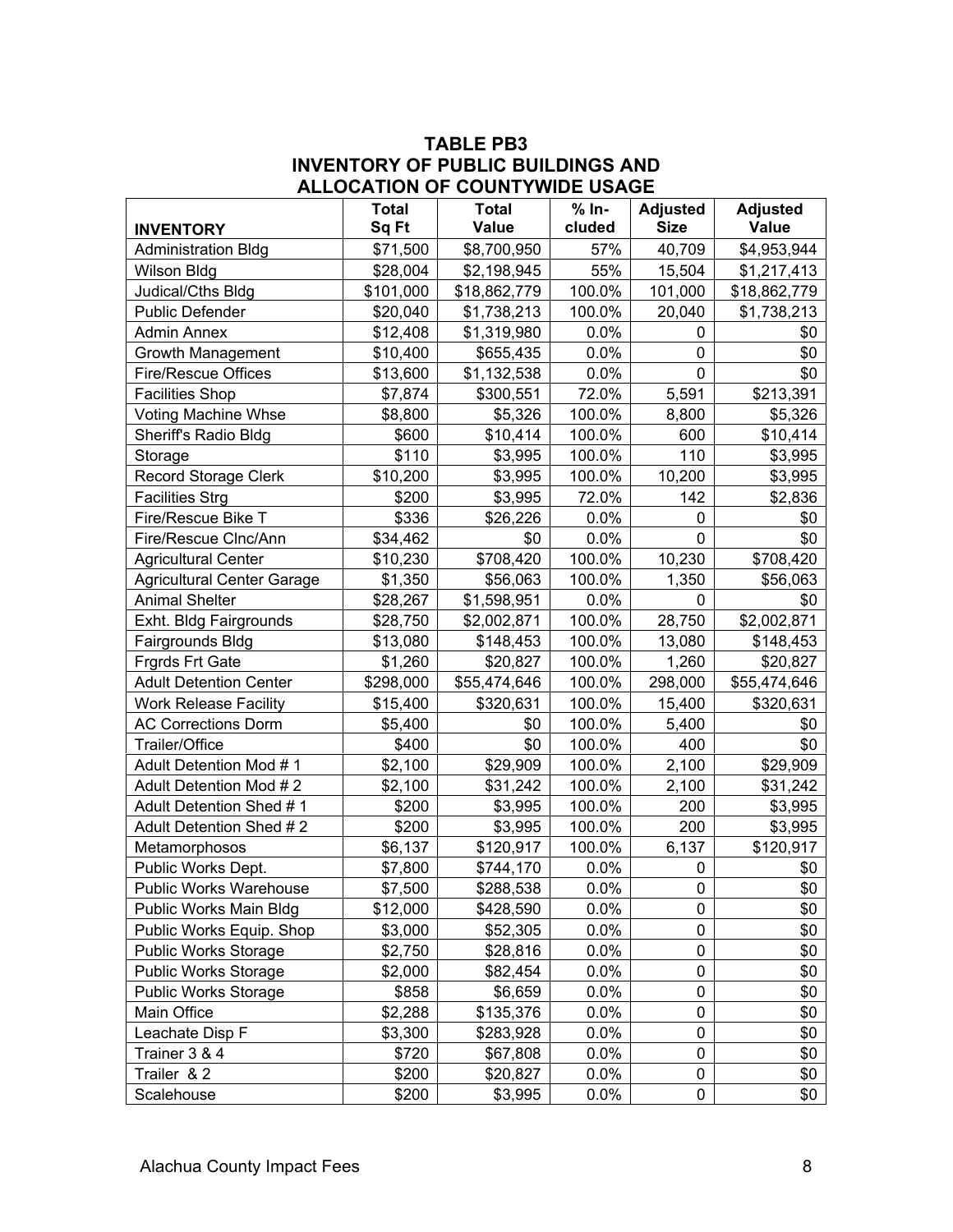#### **TABLE PB3 INVENTORY OF PUBLIC BUILDINGS AND ALLOCATION OF COUNTYWIDE USAGE**

|                                   | <b>Total</b> | <b>Total</b> | $% In-$ | <b>Adjusted</b> | <b>Adjusted</b> |
|-----------------------------------|--------------|--------------|---------|-----------------|-----------------|
| <b>INVENTORY</b>                  | Sq Ft        | <b>Value</b> | cluded  | <b>Size</b>     | <b>Value</b>    |
| <b>Administration Bldg</b>        | \$71,500     | \$8,700,950  | 57%     | 40,709          | \$4,953,944     |
| Wilson Bldg                       | \$28,004     | \$2,198,945  | 55%     | 15,504          | \$1,217,413     |
| Judical/Cths Bldg                 | \$101,000    | \$18,862,779 | 100.0%  | 101,000         | \$18,862,779    |
| <b>Public Defender</b>            | \$20,040     | \$1,738,213  | 100.0%  | 20,040          | \$1,738,213     |
| <b>Admin Annex</b>                | \$12,408     | \$1,319,980  | 0.0%    | $\mathbf{0}$    | \$0             |
| Growth Management                 | \$10,400     | \$655,435    | 0.0%    | $\mathbf 0$     | \$0             |
| Fire/Rescue Offices               | \$13,600     | \$1,132,538  | 0.0%    | $\mathbf 0$     | \$0             |
| <b>Facilities Shop</b>            | \$7,874      | \$300,551    | 72.0%   | 5,591           | \$213,391       |
| Voting Machine Whse               | \$8,800      | \$5,326      | 100.0%  | 8,800           | \$5,326         |
| Sheriff's Radio Bldg              | \$600        | \$10,414     | 100.0%  | 600             | \$10,414        |
| Storage                           | \$110        | \$3,995      | 100.0%  | 110             | \$3,995         |
| <b>Record Storage Clerk</b>       | \$10,200     | \$3,995      | 100.0%  | 10,200          | \$3,995         |
| <b>Facilities Strg</b>            | \$200        | \$3,995      | 72.0%   | 142             | \$2,836         |
| Fire/Rescue Bike T                | \$336        | \$26,226     | 0.0%    | 0               | \$0             |
| Fire/Rescue Clnc/Ann              | \$34,462     | \$0          | 0.0%    | 0               | \$0             |
| <b>Agricultural Center</b>        | \$10,230     | \$708,420    | 100.0%  | 10,230          | \$708,420       |
| <b>Agricultural Center Garage</b> | \$1,350      | \$56,063     | 100.0%  | 1,350           | \$56,063        |
| <b>Animal Shelter</b>             | \$28,267     | \$1,598,951  | 0.0%    | 0               | \$0             |
| Exht. Bldg Fairgrounds            | \$28,750     | \$2,002,871  | 100.0%  | 28,750          | \$2,002,871     |
| Fairgrounds Bldg                  | \$13,080     | \$148,453    | 100.0%  | 13,080          | \$148,453       |
| <b>Frgrds Frt Gate</b>            | \$1,260      | \$20,827     | 100.0%  | 1,260           | \$20,827        |
| <b>Adult Detention Center</b>     | \$298,000    | \$55,474,646 | 100.0%  | 298,000         | \$55,474,646    |
| <b>Work Release Facility</b>      | \$15,400     | \$320,631    | 100.0%  | 15,400          | \$320,631       |
| <b>AC Corrections Dorm</b>        | \$5,400      | \$0          | 100.0%  | 5,400           | \$0             |
| Trailer/Office                    | \$400        | \$0          | 100.0%  | 400             | \$0             |
| Adult Detention Mod #1            | \$2,100      | \$29,909     | 100.0%  | 2,100           | \$29,909        |
| Adult Detention Mod #2            | \$2,100      | \$31,242     | 100.0%  | 2,100           | \$31,242        |
| Adult Detention Shed #1           | \$200        | \$3,995      | 100.0%  | 200             | \$3,995         |
| Adult Detention Shed #2           | \$200        | \$3,995      | 100.0%  | 200             | \$3,995         |
| Metamorphosos                     | \$6,137      | \$120,917    | 100.0%  | 6,137           | \$120,917       |
| Public Works Dept.                | \$7,800      | \$744,170    | 0.0%    | 0               | \$0             |
| Public Works Warehouse            | \$7,500      | \$288,538    | 0.0%    | 0               | \$0             |
| Public Works Main Bldg            | \$12,000     | \$428,590    | $0.0\%$ | 0               | \$0             |
| Public Works Equip. Shop          | \$3,000      | \$52,305     | 0.0%    | 0               | \$0             |
| <b>Public Works Storage</b>       | \$2,750      | \$28,816     | 0.0%    | 0               | \$0             |
| <b>Public Works Storage</b>       | \$2,000      | \$82,454     | 0.0%    | 0               | \$0             |
| <b>Public Works Storage</b>       | \$858        | \$6,659      | 0.0%    | 0               | \$0             |
| Main Office                       | \$2,288      | \$135,376    | 0.0%    | 0               | \$0             |
| Leachate Disp F                   | \$3,300      | \$283,928    | $0.0\%$ | 0               | \$0             |
| Trainer 3 & 4                     | \$720        | \$67,808     | $0.0\%$ | 0               | \$0             |
| Trailer & 2                       | \$200        | \$20,827     | 0.0%    | 0               | \$0             |
| Scalehouse                        | \$200        | \$3,995      | 0.0%    | 0               | \$0             |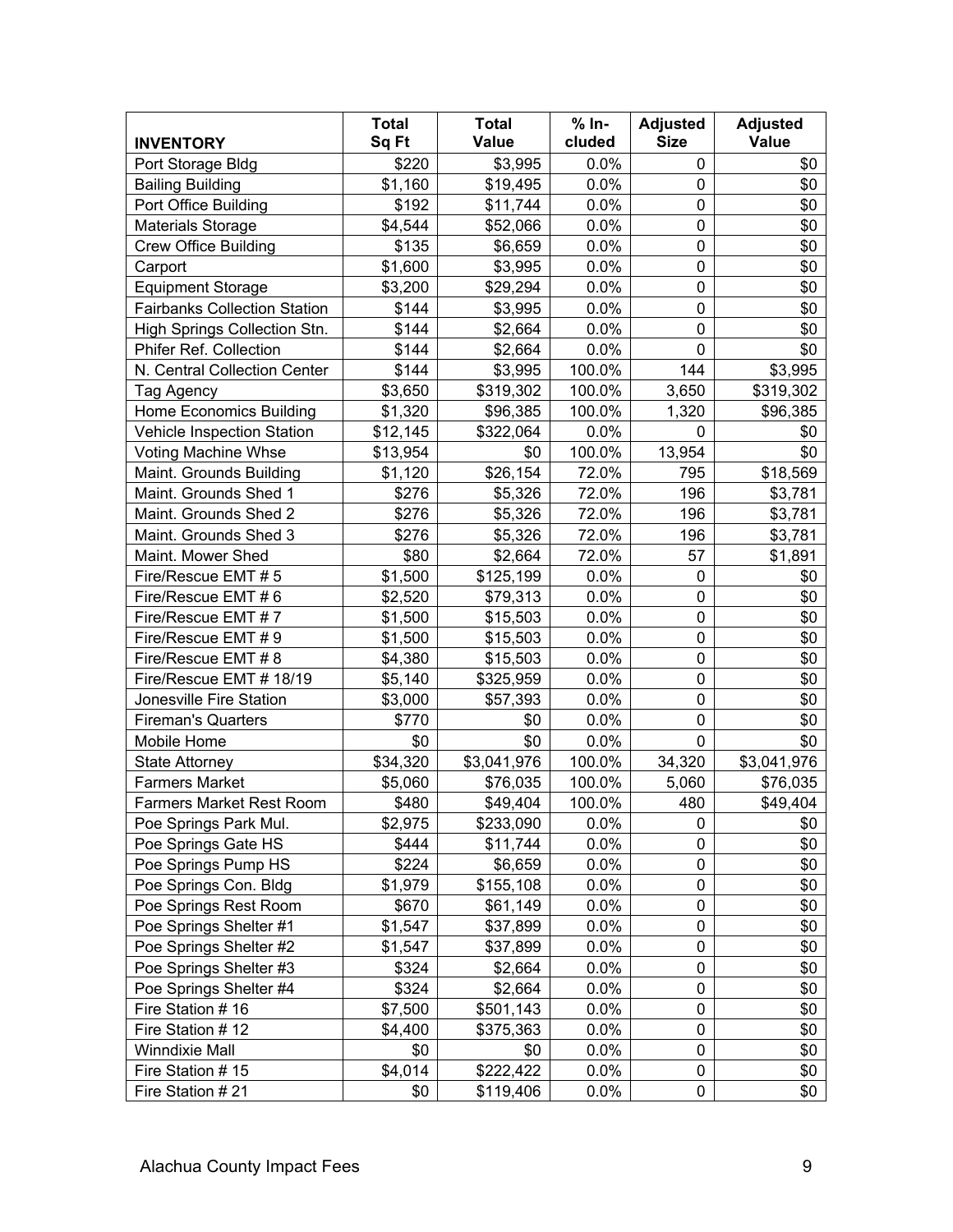|                                     | <b>Total</b> | <b>Total</b> | $% In-$ | <b>Adjusted</b> | <b>Adjusted</b> |
|-------------------------------------|--------------|--------------|---------|-----------------|-----------------|
| <b>INVENTORY</b>                    | Sq Ft        | <b>Value</b> | cluded  | <b>Size</b>     | Value           |
| Port Storage Bldg                   | \$220        | \$3,995      | 0.0%    | 0               | \$0             |
| <b>Bailing Building</b>             | \$1,160      | \$19,495     | 0.0%    | 0               | \$0             |
| Port Office Building                | \$192        | \$11,744     | 0.0%    | 0               | \$0             |
| Materials Storage                   | \$4,544      | \$52,066     | 0.0%    | 0               | \$0             |
| <b>Crew Office Building</b>         | \$135        | \$6,659      | 0.0%    | 0               | \$0             |
| Carport                             | \$1,600      | \$3,995      | 0.0%    | 0               | \$0             |
| <b>Equipment Storage</b>            | \$3,200      | \$29,294     | 0.0%    | 0               | \$0             |
| <b>Fairbanks Collection Station</b> | \$144        | \$3,995      | 0.0%    | 0               | \$0             |
| High Springs Collection Stn.        | \$144        | \$2,664      | 0.0%    | 0               | \$0             |
| Phifer Ref. Collection              | \$144        | \$2,664      | 0.0%    | 0               | \$0             |
| N. Central Collection Center        | \$144        | \$3,995      | 100.0%  | 144             | \$3,995         |
| Tag Agency                          | \$3,650      | \$319,302    | 100.0%  | 3,650           | \$319,302       |
| <b>Home Economics Building</b>      | \$1,320      | \$96,385     | 100.0%  | 1,320           | \$96,385        |
| Vehicle Inspection Station          | \$12,145     | \$322,064    | 0.0%    | 0               | \$0             |
| <b>Voting Machine Whse</b>          | \$13,954     | \$0          | 100.0%  | 13,954          | \$0             |
| Maint. Grounds Building             | \$1,120      | \$26,154     | 72.0%   | 795             | \$18,569        |
| Maint. Grounds Shed 1               | \$276        | \$5,326      | 72.0%   | 196             | \$3,781         |
| Maint. Grounds Shed 2               | \$276        | \$5,326      | 72.0%   | 196             | \$3,781         |
| Maint. Grounds Shed 3               | \$276        | \$5,326      | 72.0%   | 196             | \$3,781         |
| Maint. Mower Shed                   | \$80         | \$2,664      | 72.0%   | 57              | \$1,891         |
| Fire/Rescue EMT # 5                 | \$1,500      | \$125,199    | 0.0%    | 0               | \$0             |
| Fire/Rescue EMT # 6                 | \$2,520      | \$79,313     | 0.0%    | 0               | \$0             |
| Fire/Rescue EMT #7                  | \$1,500      | \$15,503     | 0.0%    | 0               | \$0             |
| Fire/Rescue EMT # 9                 | \$1,500      | \$15,503     | 0.0%    | 0               | \$0             |
| Fire/Rescue EMT #8                  | \$4,380      | \$15,503     | 0.0%    | 0               | \$0             |
| Fire/Rescue EMT # 18/19             | \$5,140      | \$325,959    | 0.0%    | 0               | \$0             |
| Jonesville Fire Station             | \$3,000      | \$57,393     | 0.0%    | 0               | \$0             |
| <b>Fireman's Quarters</b>           | \$770        | \$0          | 0.0%    | 0               | \$0             |
| Mobile Home                         | \$0          | \$0          | 0.0%    | 0               | \$0             |
| <b>State Attorney</b>               | \$34,320     | \$3,041,976  | 100.0%  | 34,320          | \$3,041,976     |
| <b>Farmers Market</b>               | \$5,060      | \$76,035     | 100.0%  | 5,060           | \$76,035        |
| <b>Farmers Market Rest Room</b>     | \$480        | \$49,404     | 100.0%  | 480             | \$49,404        |
| Poe Springs Park Mul.               | \$2,975      | \$233,090    | 0.0%    | 0               | \$0             |
| Poe Springs Gate HS                 | \$444        | \$11,744     | 0.0%    | 0               | \$0             |
| Poe Springs Pump HS                 | \$224        | \$6,659      | 0.0%    | 0               | \$0             |
| Poe Springs Con. Bldg               | \$1,979      | \$155,108    | 0.0%    | 0               | \$0             |
| Poe Springs Rest Room               | \$670        | \$61,149     | 0.0%    | 0               | \$0             |
| Poe Springs Shelter #1              | \$1,547      | \$37,899     | 0.0%    | 0               | \$0             |
| Poe Springs Shelter #2              | \$1,547      | \$37,899     | 0.0%    | 0               | \$0             |
| Poe Springs Shelter #3              | \$324        | \$2,664      | 0.0%    | 0               | \$0             |
| Poe Springs Shelter #4              | \$324        | \$2,664      | 0.0%    | 0               | \$0             |
| Fire Station #16                    | \$7,500      | \$501,143    | 0.0%    | 0               | \$0             |
| Fire Station #12                    | \$4,400      | \$375,363    | 0.0%    | 0               | \$0             |
| Winndixie Mall                      | \$0          | \$0          | 0.0%    | 0               | \$0             |
| Fire Station #15                    | \$4,014      | \$222,422    | 0.0%    | 0               | \$0             |
| Fire Station #21                    | \$0          | \$119,406    | 0.0%    | 0               | \$0             |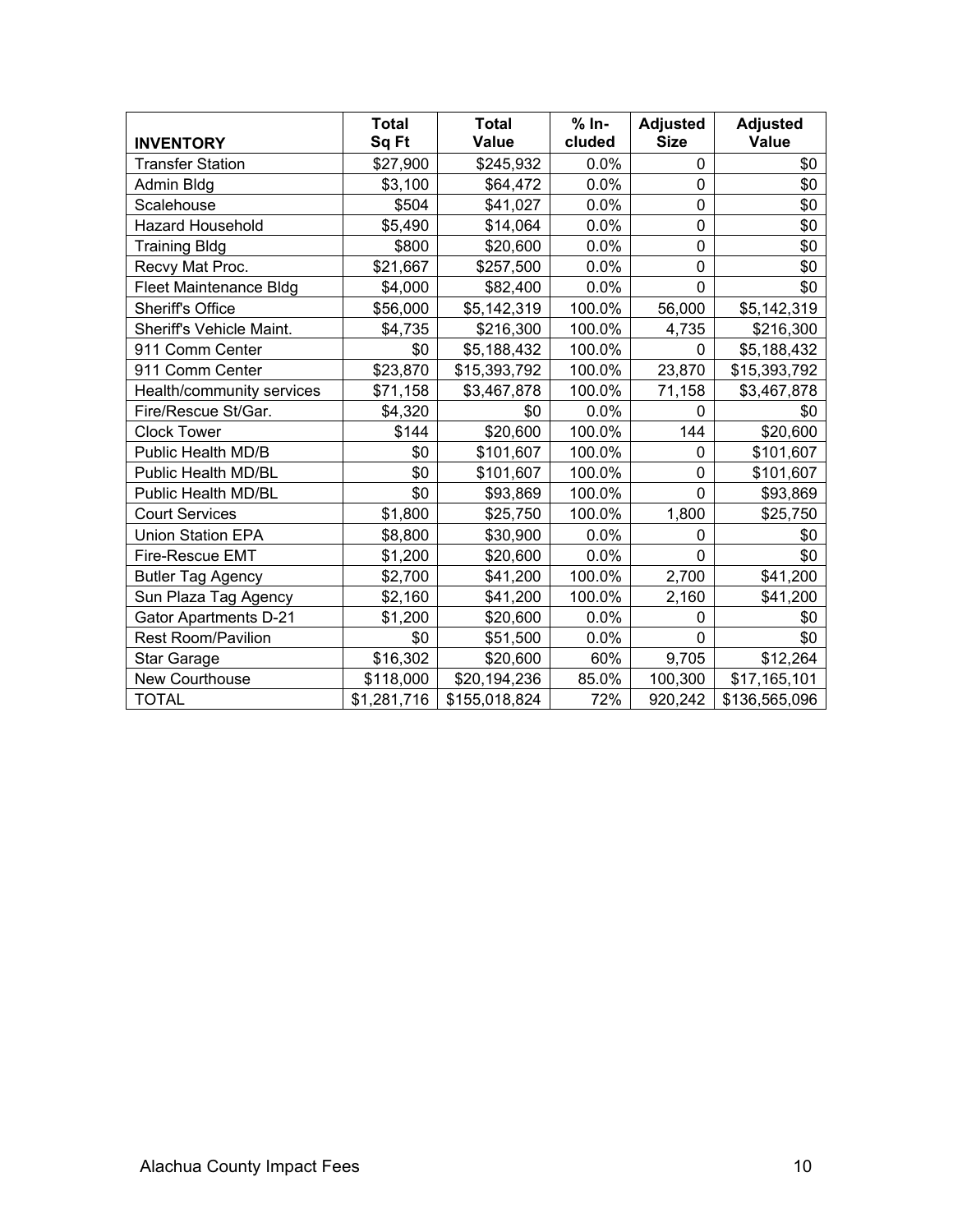| <b>INVENTORY</b>              | <b>Total</b><br>Sq Ft | <b>Total</b><br>Value | $% In-$<br>cluded | <b>Adjusted</b><br><b>Size</b> | <b>Adjusted</b><br>Value |
|-------------------------------|-----------------------|-----------------------|-------------------|--------------------------------|--------------------------|
| <b>Transfer Station</b>       | \$27,900              | \$245,932             | 0.0%              | 0                              | \$0                      |
| Admin Bldg                    | \$3,100               | \$64,472              | 0.0%              | $\overline{0}$                 | \$0                      |
| Scalehouse                    | \$504                 | \$41,027              | 0.0%              | 0                              | \$0                      |
| <b>Hazard Household</b>       | \$5,490               | \$14,064              | 0.0%              | 0                              | \$0                      |
| <b>Training Bldg</b>          | \$800                 | \$20,600              | 0.0%              | 0                              | \$0                      |
| Recvy Mat Proc.               | \$21,667              | \$257,500             | 0.0%              | 0                              | \$0                      |
| <b>Fleet Maintenance Bldg</b> | \$4,000               | \$82,400              | 0.0%              | $\overline{0}$                 | \$0                      |
| <b>Sheriff's Office</b>       | \$56,000              | \$5,142,319           | 100.0%            | 56,000                         | \$5,142,319              |
| Sheriff's Vehicle Maint.      | \$4,735               | \$216,300             | 100.0%            | 4,735                          | \$216,300                |
| 911 Comm Center               | \$0                   | \$5,188,432           | 100.0%            | 0                              | \$5,188,432              |
| 911 Comm Center               | \$23,870              | \$15,393,792          | 100.0%            | 23,870                         | \$15,393,792             |
| Health/community services     | \$71,158              | \$3,467,878           | 100.0%            | 71,158                         | \$3,467,878              |
| Fire/Rescue St/Gar.           | \$4,320               | \$0                   | 0.0%              | 0                              | \$0                      |
| <b>Clock Tower</b>            | \$144                 | \$20,600              | 100.0%            | 144                            | \$20,600                 |
| Public Health MD/B            | \$0                   | \$101,607             | 100.0%            | 0                              | \$101,607                |
| Public Health MD/BL           | \$0                   | \$101,607             | 100.0%            | $\overline{0}$                 | \$101,607                |
| Public Health MD/BL           | \$0                   | \$93,869              | 100.0%            | $\overline{0}$                 | \$93,869                 |
| <b>Court Services</b>         | \$1,800               | \$25,750              | 100.0%            | 1,800                          | \$25,750                 |
| <b>Union Station EPA</b>      | \$8,800               | \$30,900              | 0.0%              | 0                              | \$0                      |
| Fire-Rescue EMT               | \$1,200               | \$20,600              | 0.0%              | 0                              | \$0                      |
| <b>Butler Tag Agency</b>      | \$2,700               | \$41,200              | 100.0%            | 2,700                          | \$41,200                 |
| Sun Plaza Tag Agency          | \$2,160               | \$41,200              | 100.0%            | 2,160                          | \$41,200                 |
| <b>Gator Apartments D-21</b>  | \$1,200               | \$20,600              | 0.0%              | $\Omega$                       | \$0                      |
| <b>Rest Room/Pavilion</b>     | \$0                   | \$51,500              | 0.0%              | 0                              | \$0                      |
| Star Garage                   | \$16,302              | \$20,600              | 60%               | 9,705                          | \$12,264                 |
| New Courthouse                | \$118,000             | \$20,194,236          | 85.0%             | 100,300                        | \$17,165,101             |
| <b>TOTAL</b>                  | \$1,281,716           | \$155,018,824         | 72%               | 920,242                        | \$136,565,096            |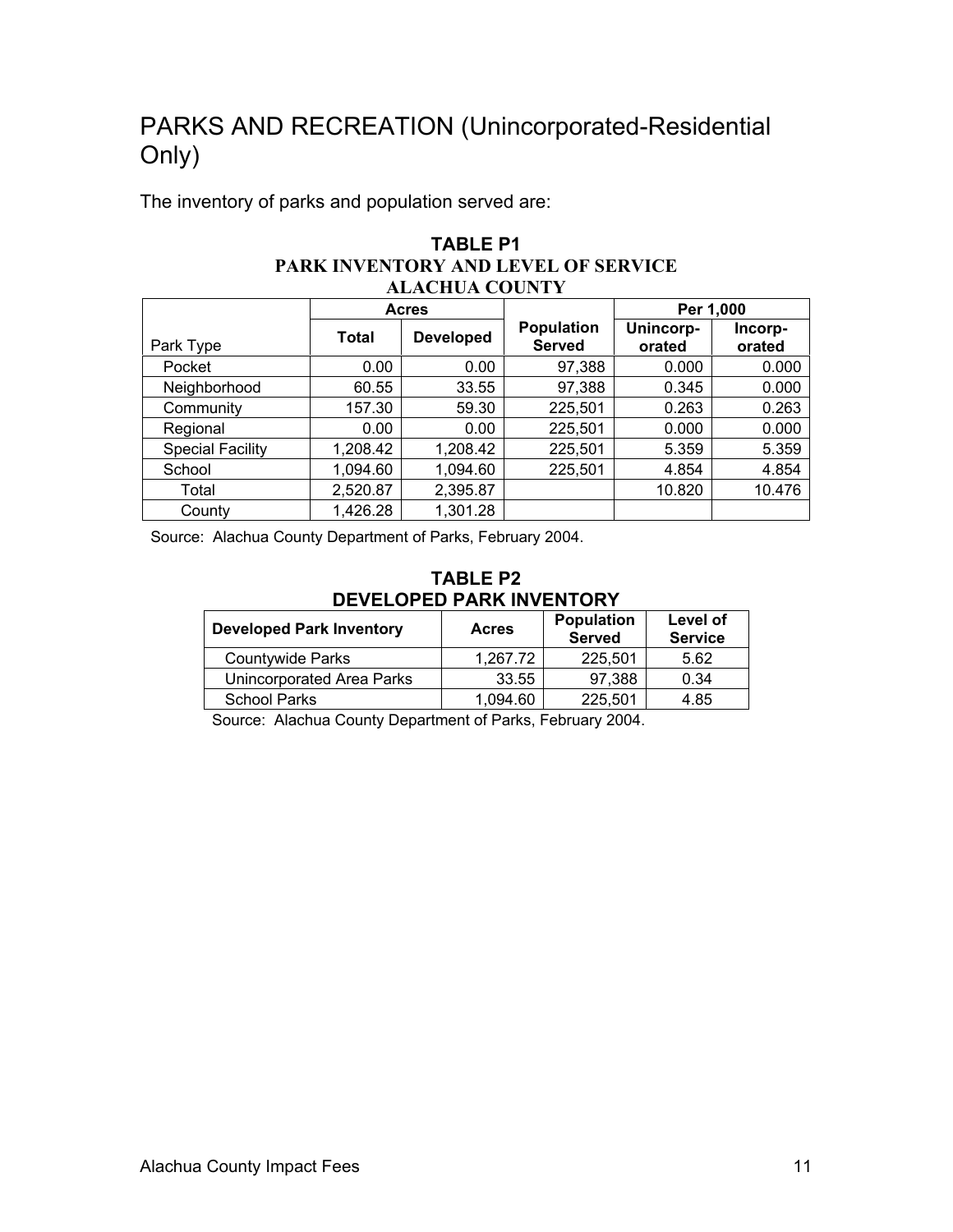## PARKS AND RECREATION (Unincorporated-Residential Only)

The inventory of parks and population served are:

| PARK INVENTORY AND LEVEL OF SERVICE<br><b>ALACHUA COUNTY</b> |              |                  |                                    |                     |                   |  |
|--------------------------------------------------------------|--------------|------------------|------------------------------------|---------------------|-------------------|--|
|                                                              |              | <b>Acres</b>     |                                    | Per 1,000           |                   |  |
| Park Type                                                    | <b>Total</b> | <b>Developed</b> | <b>Population</b><br><b>Served</b> | Unincorp-<br>orated | Incorp-<br>orated |  |
| Pocket                                                       | 0.00         | 0.00             | 97,388                             | 0.000               | 0.000             |  |
| Neighborhood                                                 | 60.55        | 33.55            | 97,388                             | 0.345               | 0.000             |  |
| Community                                                    | 157.30       | 59.30            | 225,501                            | 0.263               | 0.263             |  |
| Regional                                                     | 0.00         | 0.00             | 225,501                            | 0.000               | 0.000             |  |
| <b>Special Facility</b>                                      | 1,208.42     | 1,208.42         | 225,501                            | 5.359               | 5.359             |  |
| School                                                       | 1,094.60     | 1,094.60         | 225,501                            | 4.854               | 4.854             |  |
| Total                                                        | 2,520.87     | 2,395.87         |                                    | 10.820              | 10.476            |  |
| County                                                       | 1,426.28     | 1,301.28         |                                    |                     |                   |  |

**TABLE P1** 

Source: Alachua County Department of Parks, February 2004.

| TABLE P2                        |
|---------------------------------|
| <b>DEVELOPED PARK INVENTORY</b> |

| <b>Developed Park Inventory</b> | <b>Acres</b> | <b>Population</b><br><b>Served</b> | Level of<br><b>Service</b> |
|---------------------------------|--------------|------------------------------------|----------------------------|
| <b>Countywide Parks</b>         | 1.267.72     | 225,501                            | 5.62                       |
| Unincorporated Area Parks       | 33.55        | 97.388                             | 0.34                       |
| <b>School Parks</b>             | 1.094.60     | 225,501                            | 4.85                       |

Source: Alachua County Department of Parks, February 2004.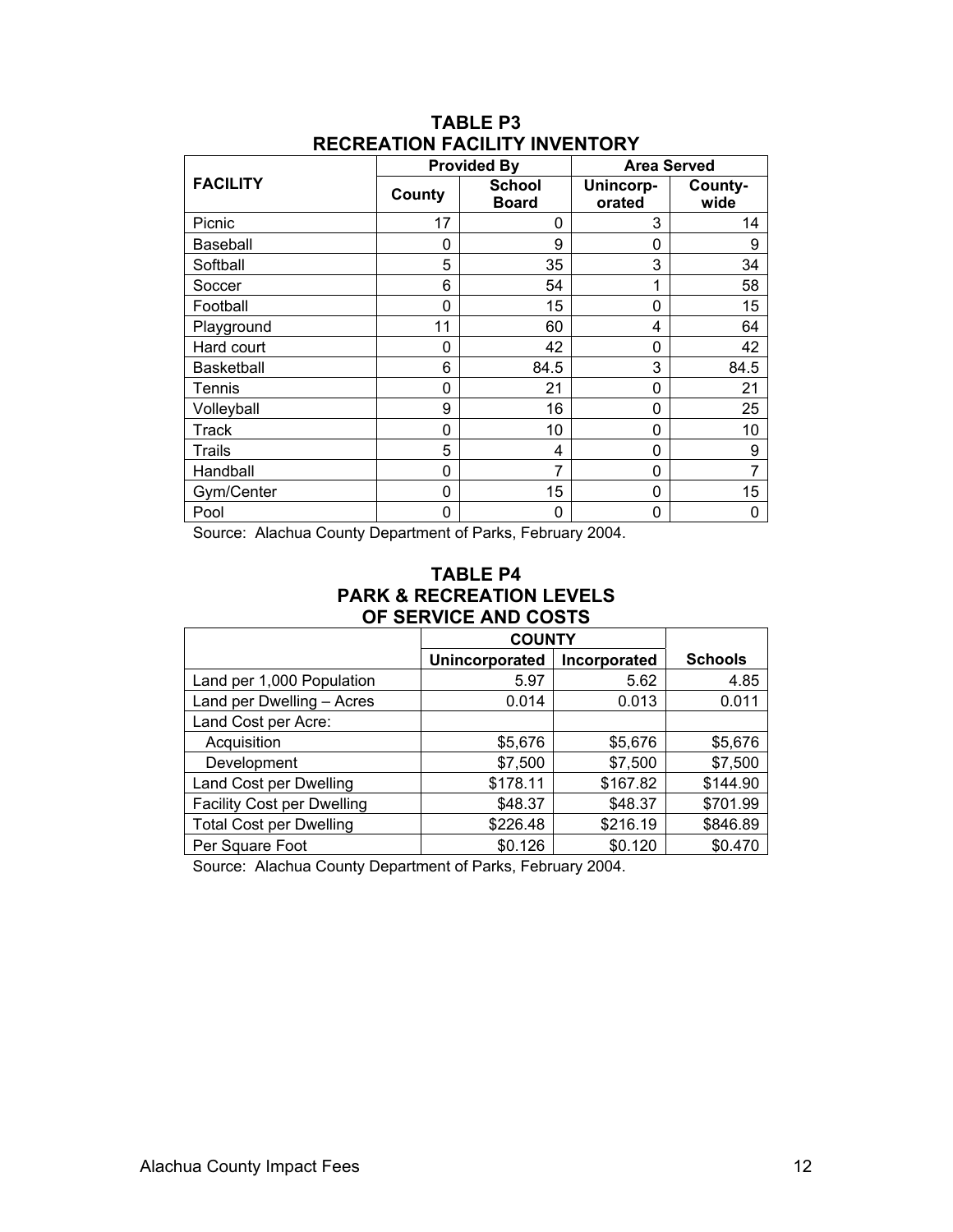|                   |        | <b>Provided By</b>            | <b>Area Served</b>  |                 |  |
|-------------------|--------|-------------------------------|---------------------|-----------------|--|
| <b>FACILITY</b>   | County | <b>School</b><br><b>Board</b> | Unincorp-<br>orated | County-<br>wide |  |
| Picnic            | 17     | 0                             | 3                   | 14              |  |
| Baseball          | 0      | 9                             | 0                   | 9               |  |
| Softball          | 5      | 35                            | 3                   | 34              |  |
| Soccer            | 6      | 54                            | 1                   | 58              |  |
| Football          | 0      | 15                            | 0                   | 15              |  |
| Playground        | 11     | 60                            | 4                   | 64              |  |
| Hard court        | 0      | 42                            | 0                   | 42              |  |
| <b>Basketball</b> | 6      | 84.5                          | 3                   | 84.5            |  |
| Tennis            | 0      | 21                            | 0                   | 21              |  |
| Volleyball        | 9      | 16                            | 0                   | 25              |  |
| <b>Track</b>      | 0      | 10                            | 0                   | 10              |  |
| Trails            | 5      | 4                             | 0                   | 9               |  |
| Handball          | 0      | 7                             | 0                   | 7               |  |
| Gym/Center        | 0      | 15                            | 0                   | 15              |  |
| Pool              | 0      | 0                             | 0                   | 0               |  |

#### **TABLE P3 RECREATION FACILITY INVENTORY**

Source: Alachua County Department of Parks, February 2004.

#### **TABLE P4 PARK & RECREATION LEVELS OF SERVICE AND COSTS**

|                                   | <b>COUNTY</b>  |              |                |
|-----------------------------------|----------------|--------------|----------------|
|                                   | Unincorporated | Incorporated | <b>Schools</b> |
| Land per 1,000 Population         | 5.97           | 5.62         | 4.85           |
| Land per Dwelling - Acres         | 0.014          | 0.013        | 0.011          |
| Land Cost per Acre:               |                |              |                |
| Acquisition                       | \$5,676        | \$5,676      | \$5,676        |
| Development                       | \$7,500        | \$7,500      | \$7,500        |
| Land Cost per Dwelling            | \$178.11       | \$167.82     | \$144.90       |
| <b>Facility Cost per Dwelling</b> | \$48.37        | \$48.37      | \$701.99       |
| <b>Total Cost per Dwelling</b>    | \$226.48       | \$216.19     | \$846.89       |
| Per Square Foot                   | \$0.126        | \$0.120      | \$0.470        |

Source: Alachua County Department of Parks, February 2004.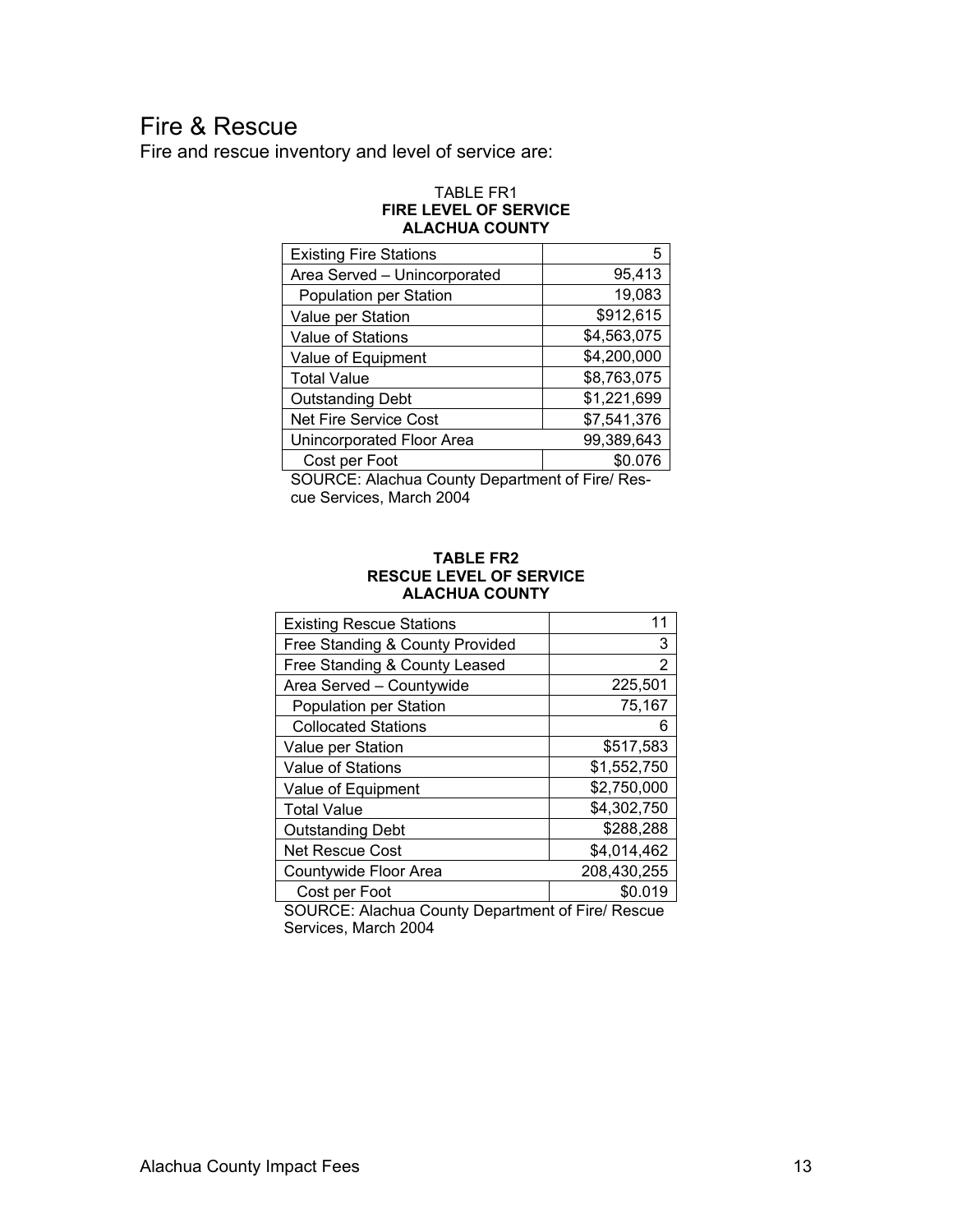## Fire & Rescue

Fire and rescue inventory and level of service are:

#### TABLE FR1 **FIRE LEVEL OF SERVICE ALACHUA COUNTY**

| <b>Existing Fire Stations</b> | 5           |
|-------------------------------|-------------|
| Area Served - Unincorporated  | 95,413      |
| Population per Station        | 19,083      |
| Value per Station             | \$912,615   |
| Value of Stations             | \$4,563,075 |
| Value of Equipment            | \$4,200,000 |
| <b>Total Value</b>            | \$8,763,075 |
| <b>Outstanding Debt</b>       | \$1,221,699 |
| <b>Net Fire Service Cost</b>  | \$7,541,376 |
| Unincorporated Floor Area     | 99,389,643  |
| Cost per Foot                 | \$0.076     |

SOURCE: Alachua County Department of Fire/ Rescue Services, March 2004

#### **TABLE FR2 RESCUE LEVEL OF SERVICE ALACHUA COUNTY**

| <b>Existing Rescue Stations</b> | 11          |
|---------------------------------|-------------|
| Free Standing & County Provided | 3           |
| Free Standing & County Leased   | 2           |
| Area Served - Countywide        | 225,501     |
| Population per Station          | 75,167      |
| <b>Collocated Stations</b>      | 6           |
| Value per Station               | \$517,583   |
| Value of Stations               | \$1,552,750 |
| Value of Equipment              | \$2,750,000 |
| <b>Total Value</b>              | \$4,302,750 |
| <b>Outstanding Debt</b>         | \$288,288   |
| <b>Net Rescue Cost</b>          | \$4,014,462 |
| Countywide Floor Area           | 208,430,255 |
| Cost per Foot                   | \$0.019     |

SOURCE: Alachua County Department of Fire/ Rescue Services, March 2004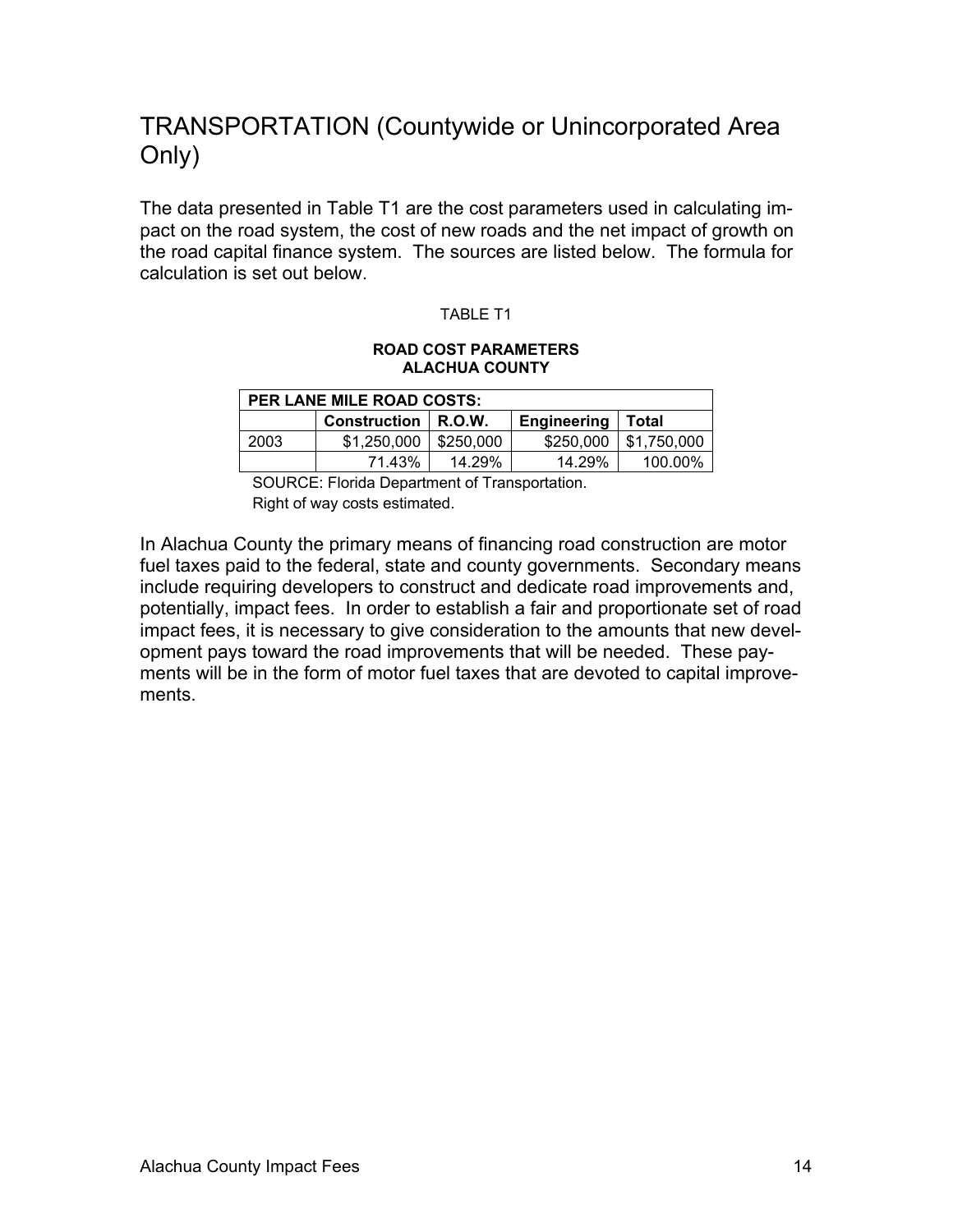## TRANSPORTATION (Countywide or Unincorporated Area Only)

The data presented in Table T1 are the cost parameters used in calculating impact on the road system, the cost of new roads and the net impact of growth on the road capital finance system. The sources are listed below. The formula for calculation is set out below.

#### TABLE T1

#### **ROAD COST PARAMETERS ALACHUA COUNTY**

| <b>PER LANE MILE ROAD COSTS:</b> |                     |                    |           |             |  |  |
|----------------------------------|---------------------|--------------------|-----------|-------------|--|--|
|                                  | <b>Construction</b> | <b>Engineering</b> | Total     |             |  |  |
| 2003                             | \$1,250,000         | \$250,000          | \$250,000 | \$1,750,000 |  |  |
|                                  | 71.43%              | 14.29%             | 14.29%    | 100.00%     |  |  |

 SOURCE: Florida Department of Transportation. Right of way costs estimated.

In Alachua County the primary means of financing road construction are motor fuel taxes paid to the federal, state and county governments. Secondary means include requiring developers to construct and dedicate road improvements and, potentially, impact fees. In order to establish a fair and proportionate set of road impact fees, it is necessary to give consideration to the amounts that new development pays toward the road improvements that will be needed. These payments will be in the form of motor fuel taxes that are devoted to capital improvements.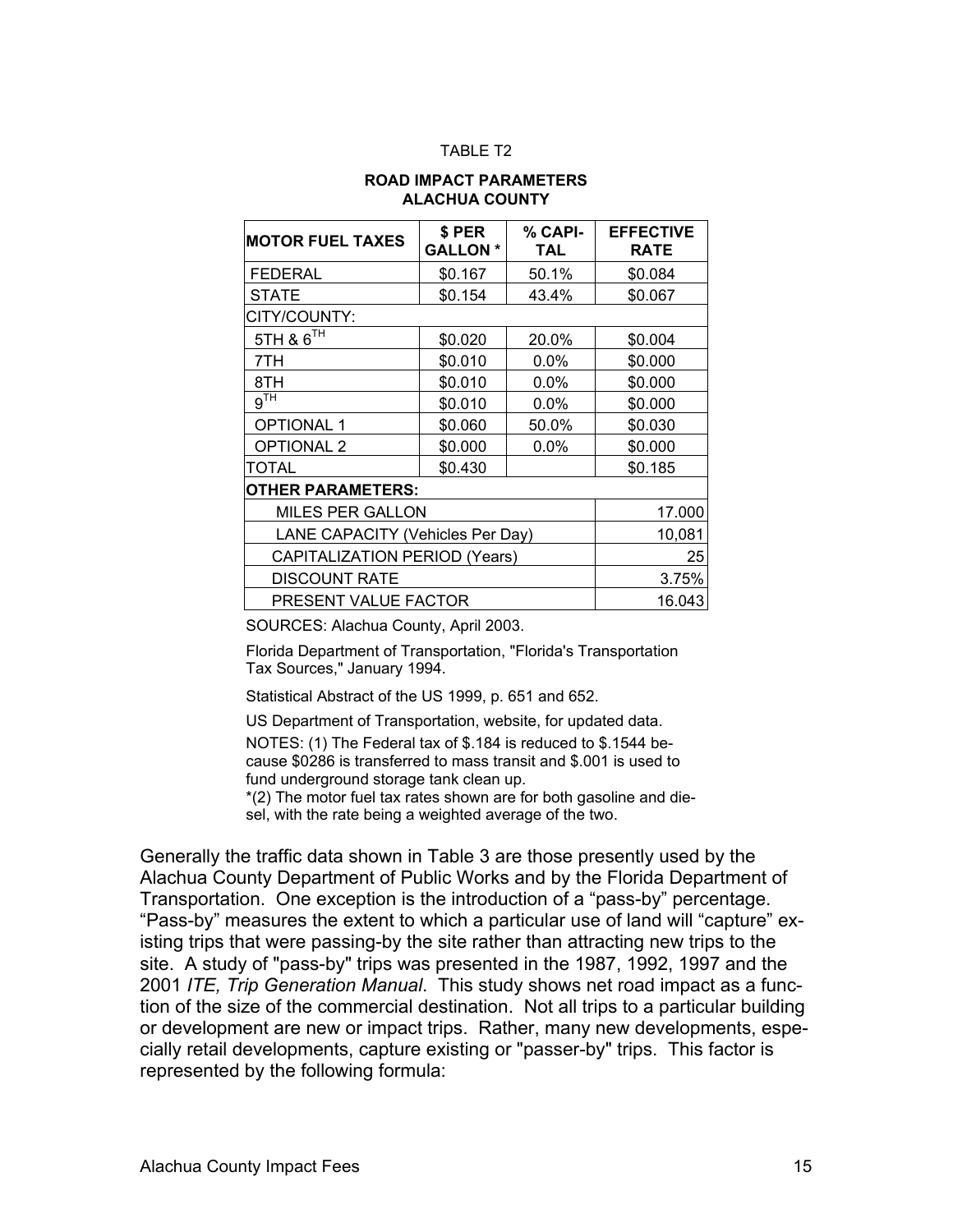#### TABLE T<sub>2</sub>

#### **ROAD IMPACT PARAMETERS ALACHUA COUNTY**

| <b>MOTOR FUEL TAXES</b>              | \$ PER<br><b>GALLON *</b> | % CAPI-<br>TAL | <b>EFFECTIVE</b><br><b>RATE</b> |
|--------------------------------------|---------------------------|----------------|---------------------------------|
| FEDERAL                              | \$0.167                   | 50.1%          | \$0.084                         |
| <b>STATE</b>                         | \$0.154                   | 43.4%          | \$0.067                         |
| CITY/COUNTY:                         |                           |                |                                 |
| 5TH & 6TH                            | \$0.020                   | 20.0%          | \$0.004                         |
| 7TH                                  | \$0.010                   | 0.0%           | \$0.000                         |
| 8TH                                  | \$0.010                   | $0.0\%$        | \$0.000                         |
| 9 <sup>TH</sup>                      | \$0.010                   | $0.0\%$        | \$0.000                         |
| <b>OPTIONAL 1</b>                    | \$0.060                   | 50.0%          | \$0.030                         |
| <b>OPTIONAL 2</b>                    | \$0.000                   | $0.0\%$        | \$0.000                         |
| TOTAL                                | \$0.430                   |                | \$0.185                         |
| OTHER PARAMETERS:                    |                           |                |                                 |
| <b>MILES PER GALLON</b>              |                           |                | 17.000                          |
| LANE CAPACITY (Vehicles Per Day)     |                           |                | 10,081                          |
| <b>CAPITALIZATION PERIOD (Years)</b> |                           |                | 25                              |
| <b>DISCOUNT RATE</b>                 |                           |                | 3.75%                           |
| PRESENT VALUE FACTOR                 | 16.043                    |                |                                 |

SOURCES: Alachua County, April 2003.

Florida Department of Transportation, "Florida's Transportation Tax Sources," January 1994.

Statistical Abstract of the US 1999, p. 651 and 652.

US Department of Transportation, website, for updated data.

NOTES: (1) The Federal tax of \$.184 is reduced to \$.1544 because \$0286 is transferred to mass transit and \$.001 is used to fund underground storage tank clean up.

\*(2) The motor fuel tax rates shown are for both gasoline and die-

sel, with the rate being a weighted average of the two.

Generally the traffic data shown in Table 3 are those presently used by the Alachua County Department of Public Works and by the Florida Department of Transportation. One exception is the introduction of a "pass-by" percentage. "Pass-by" measures the extent to which a particular use of land will "capture" existing trips that were passing-by the site rather than attracting new trips to the site. A study of "pass-by" trips was presented in the 1987, 1992, 1997 and the 2001 *ITE, Trip Generation Manual*. This study shows net road impact as a function of the size of the commercial destination. Not all trips to a particular building or development are new or impact trips. Rather, many new developments, especially retail developments, capture existing or "passer-by" trips. This factor is represented by the following formula: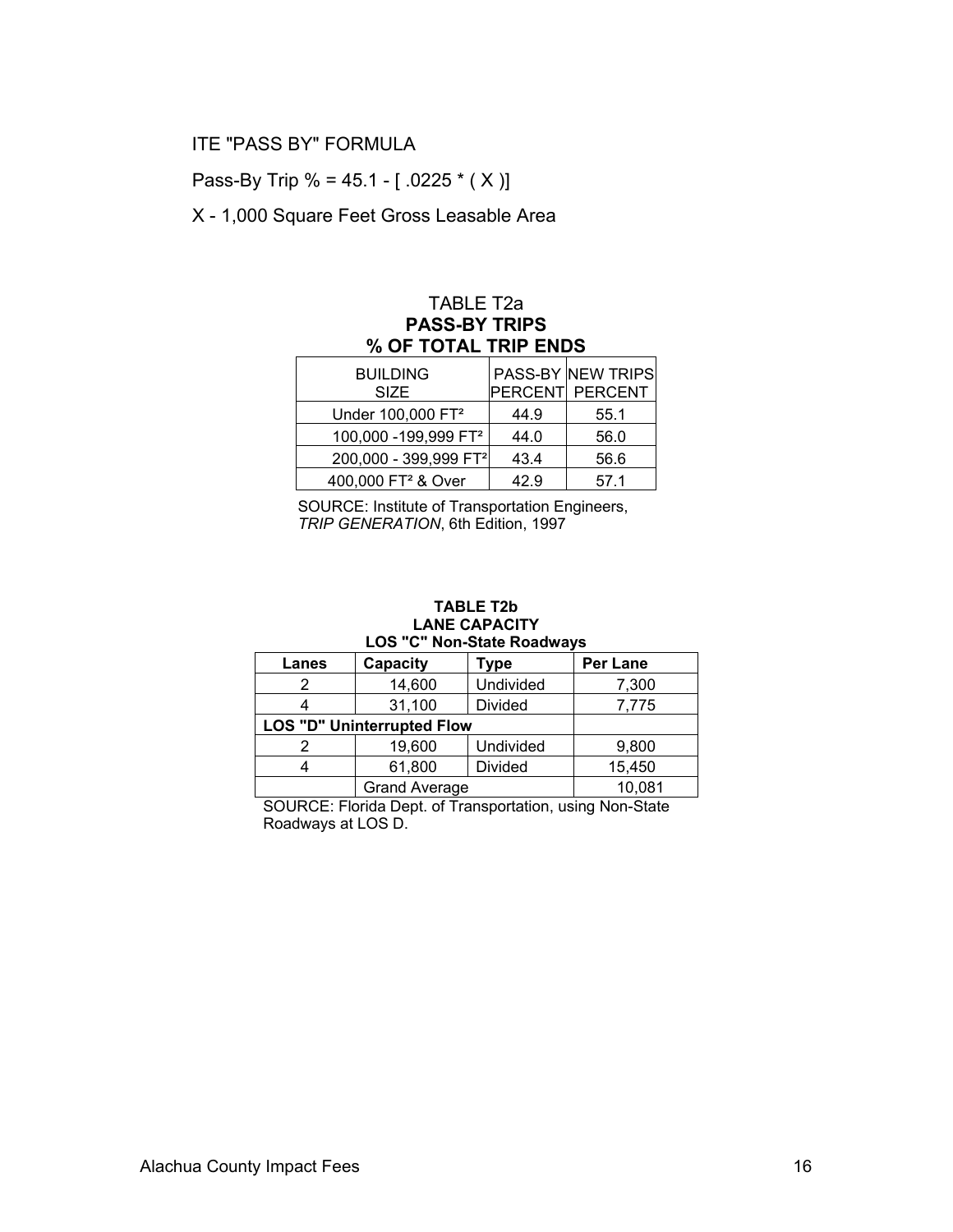#### ITE "PASS BY" FORMULA

Pass-By Trip % = 45.1 -  $[.0225 * (X)]$ 

X - 1,000 Square Feet Gross Leasable Area

#### TABLE T2a **PASS-BY TRIPS % OF TOTAL TRIP ENDS**

| <b>BUILDING</b>                   |      | <b>PASS-BY NEW TRIPS</b> |
|-----------------------------------|------|--------------------------|
| <b>SIZE</b>                       |      | PERCENT PERCENT          |
| Under 100,000 FT <sup>2</sup>     | 44.9 | 55.1                     |
| 100,000 - 199,999 FT <sup>2</sup> | 44.0 | 56.0                     |
| 200,000 - 399,999 FT <sup>2</sup> | 43.4 | 56.6                     |
| 400,000 FT <sup>2</sup> & Over    | 42.9 | 57.1                     |

SOURCE: Institute of Transportation Engineers, *TRIP GENERATION*, 6th Edition, 1997

#### **TABLE T2b LANE CAPACITY LOS "C" Non-State Roadways**

| Lanes                             | Capacity<br>Type     |                  | <b>Per Lane</b> |
|-----------------------------------|----------------------|------------------|-----------------|
|                                   | 14,600               | <b>Undivided</b> | 7,300           |
|                                   | 31,100               | Divided          | 7,775           |
| <b>LOS "D" Uninterrupted Flow</b> |                      |                  |                 |
|                                   | 19,600               | Undivided        | 9,800           |
|                                   | 61,800               | <b>Divided</b>   | 15,450          |
|                                   | <b>Grand Average</b> |                  | 10,081          |

SOURCE: Florida Dept. of Transportation, using Non-State Roadways at LOS D.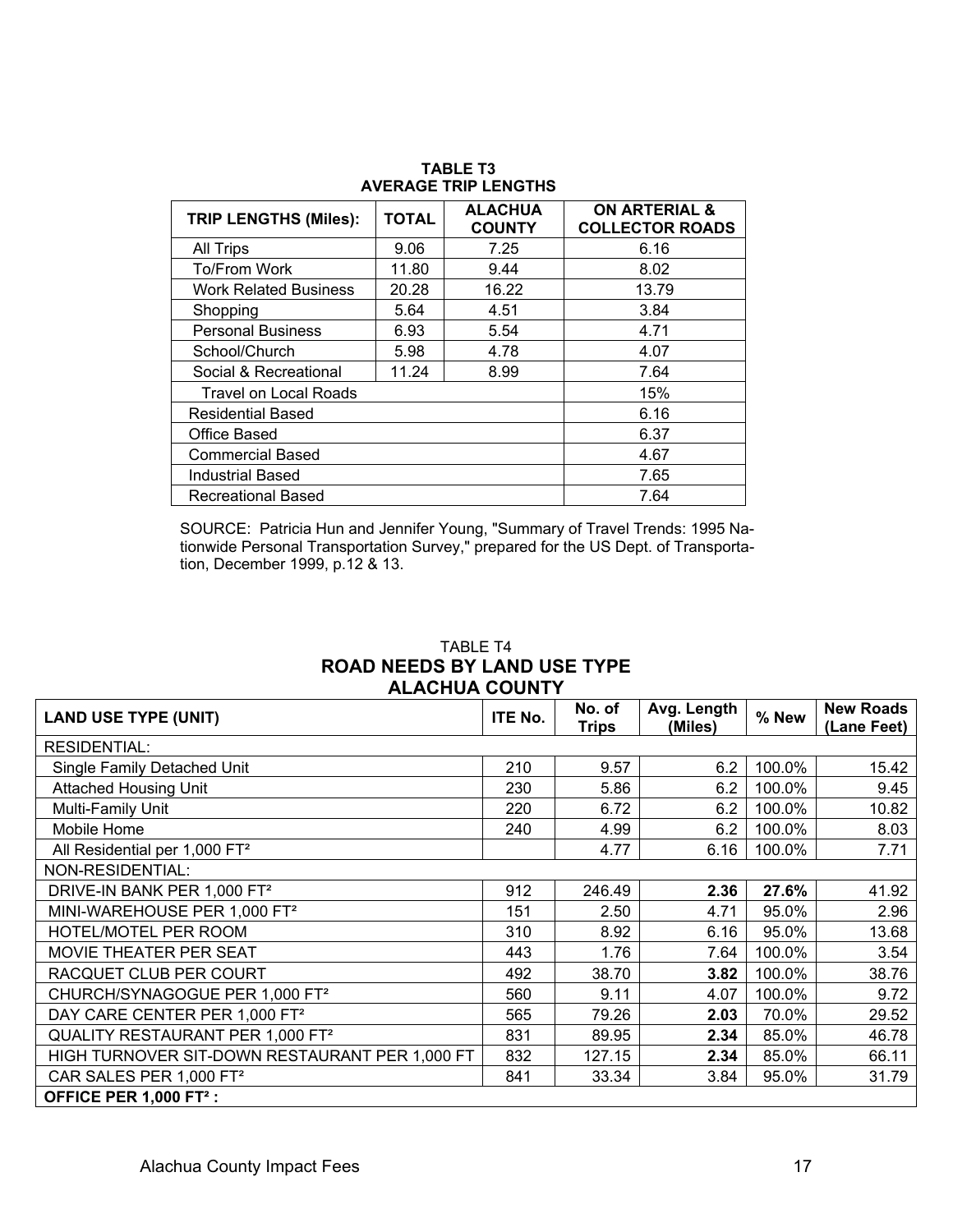| <b>TRIP LENGTHS (Miles):</b> | <b>TOTAL</b> | <b>ALACHUA</b><br><b>COUNTY</b> | <b>ON ARTERIAL &amp;</b><br><b>COLLECTOR ROADS</b> |
|------------------------------|--------------|---------------------------------|----------------------------------------------------|
| <b>All Trips</b>             | 9.06         | 7.25                            | 6.16                                               |
| To/From Work                 | 11.80        | 9.44                            | 8.02                                               |
| <b>Work Related Business</b> | 20.28        | 16.22                           | 13.79                                              |
| Shopping                     | 5.64         | 4.51                            | 3.84                                               |
| <b>Personal Business</b>     | 6.93         | 5.54                            | 4.71                                               |
| School/Church                | 5.98         | 4.78                            | 4.07                                               |
| Social & Recreational        | 11.24        | 8.99                            | 7.64                                               |
| <b>Travel on Local Roads</b> |              | 15%                             |                                                    |
| <b>Residential Based</b>     |              | 6.16                            |                                                    |
| Office Based                 |              |                                 | 6.37                                               |
| <b>Commercial Based</b>      |              |                                 | 4.67                                               |
| <b>Industrial Based</b>      |              |                                 | 7.65                                               |
| Recreational Based           |              |                                 | 7.64                                               |

**TABLE T3 AVERAGE TRIP LENGTHS** 

SOURCE: Patricia Hun and Jennifer Young, "Summary of Travel Trends: 1995 Nationwide Personal Transportation Survey," prepared for the US Dept. of Transportation, December 1999, p.12 & 13.

#### TABLE T4 **ROAD NEEDS BY LAND USE TYPE ALACHUA COUNTY**

| <b>LAND USE TYPE (UNIT)</b>                    |     | No. of       | Avg. Length | % New  | <b>New Roads</b> |
|------------------------------------------------|-----|--------------|-------------|--------|------------------|
|                                                |     | <b>Trips</b> | (Miles)     |        | (Lane Feet)      |
| <b>RESIDENTIAL:</b>                            |     |              |             |        |                  |
| Single Family Detached Unit                    | 210 | 9.57         | 6.2         | 100.0% | 15.42            |
| <b>Attached Housing Unit</b>                   | 230 | 5.86         | 6.2         | 100.0% | 9.45             |
| Multi-Family Unit                              | 220 | 6.72         | 6.2         | 100.0% | 10.82            |
| Mobile Home                                    | 240 | 4.99         | 6.2         | 100.0% | 8.03             |
| All Residential per 1,000 FT <sup>2</sup>      |     | 4.77         | 6.16        | 100.0% | 7.71             |
| NON-RESIDENTIAL:                               |     |              |             |        |                  |
| DRIVE-IN BANK PER 1,000 FT <sup>2</sup>        | 912 | 246.49       | 2.36        | 27.6%  | 41.92            |
| MINI-WAREHOUSE PER 1,000 FT <sup>2</sup>       | 151 | 2.50         | 4.71        | 95.0%  | 2.96             |
| HOTEL/MOTEL PER ROOM                           | 310 | 8.92         | 6.16        | 95.0%  | 13.68            |
| MOVIE THEATER PER SEAT                         | 443 | 1.76         | 7.64        | 100.0% | 3.54             |
| RACQUET CLUB PER COURT                         | 492 | 38.70        | 3.82        | 100.0% | 38.76            |
| CHURCH/SYNAGOGUE PER 1,000 FT <sup>2</sup>     | 560 | 9.11         | 4.07        | 100.0% | 9.72             |
| DAY CARE CENTER PER 1,000 FT <sup>2</sup>      | 565 | 79.26        | 2.03        | 70.0%  | 29.52            |
| QUALITY RESTAURANT PER 1,000 FT <sup>2</sup>   | 831 | 89.95        | 2.34        | 85.0%  | 46.78            |
| HIGH TURNOVER SIT-DOWN RESTAURANT PER 1,000 FT | 832 | 127.15       | 2.34        | 85.0%  | 66.11            |
| CAR SALES PER 1,000 FT <sup>2</sup>            | 841 | 33.34        | 3.84        | 95.0%  | 31.79            |
| OFFICE PER 1,000 FT <sup>2</sup> :             |     |              |             |        |                  |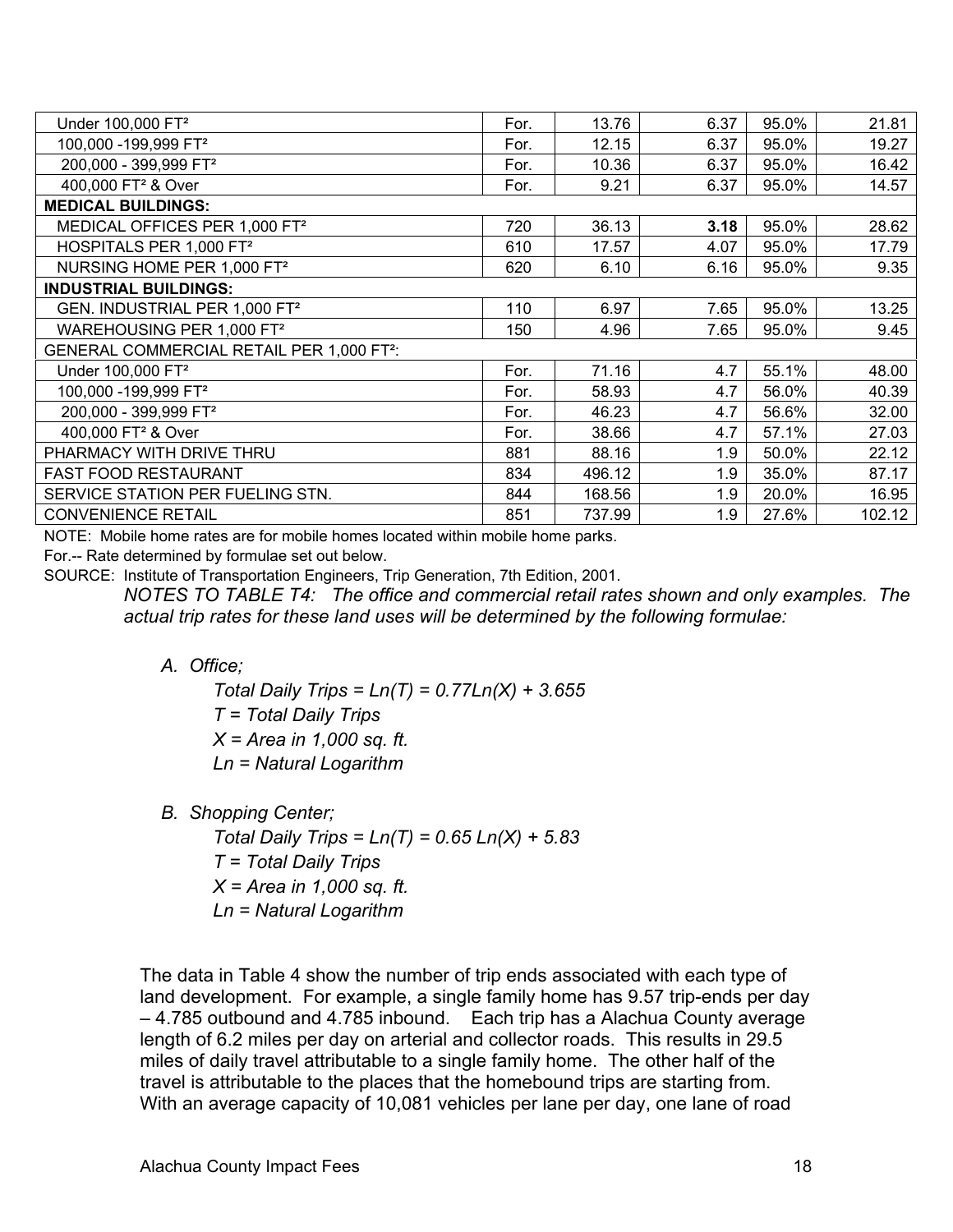| Under 100,000 FT <sup>2</sup>                         | For. | 13.76  | 6.37 | 95.0% | 21.81  |
|-------------------------------------------------------|------|--------|------|-------|--------|
| 100,000 - 199,999 FT <sup>2</sup>                     | For. | 12.15  | 6.37 | 95.0% | 19.27  |
| 200,000 - 399,999 FT <sup>2</sup>                     | For. | 10.36  | 6.37 | 95.0% | 16.42  |
| 400,000 FT <sup>2</sup> & Over                        | For. | 9.21   | 6.37 | 95.0% | 14.57  |
| <b>MEDICAL BUILDINGS:</b>                             |      |        |      |       |        |
| MEDICAL OFFICES PER 1,000 FT <sup>2</sup>             | 720  | 36.13  | 3.18 | 95.0% | 28.62  |
| HOSPITALS PER 1,000 FT <sup>2</sup>                   | 610  | 17.57  | 4.07 | 95.0% | 17.79  |
| NURSING HOME PER 1,000 FT <sup>2</sup>                | 620  | 6.10   | 6.16 | 95.0% | 9.35   |
| <b>INDUSTRIAL BUILDINGS:</b>                          |      |        |      |       |        |
| GEN. INDUSTRIAL PER 1,000 FT <sup>2</sup>             | 110  | 6.97   | 7.65 | 95.0% | 13.25  |
| WAREHOUSING PER 1,000 FT <sup>2</sup>                 | 150  | 4.96   | 7.65 | 95.0% | 9.45   |
| GENERAL COMMERCIAL RETAIL PER 1,000 FT <sup>2</sup> : |      |        |      |       |        |
| Under 100,000 FT <sup>2</sup>                         | For. | 71.16  | 4.7  | 55.1% | 48.00  |
| 100,000 - 199,999 FT <sup>2</sup>                     | For. | 58.93  | 4.7  | 56.0% | 40.39  |
| 200,000 - 399,999 FT <sup>2</sup>                     | For. | 46.23  | 4.7  | 56.6% | 32.00  |
| 400,000 FT <sup>2</sup> & Over                        | For. | 38.66  | 4.7  | 57.1% | 27.03  |
| PHARMACY WITH DRIVE THRU                              | 881  | 88.16  | 1.9  | 50.0% | 22.12  |
| <b>FAST FOOD RESTAURANT</b>                           | 834  | 496.12 | 1.9  | 35.0% | 87.17  |
| SERVICE STATION PER FUELING STN.                      | 844  | 168.56 | 1.9  | 20.0% | 16.95  |
| <b>CONVENIENCE RETAIL</b>                             | 851  | 737.99 | 1.9  | 27.6% | 102.12 |

NOTE: Mobile home rates are for mobile homes located within mobile home parks.

For.-- Rate determined by formulae set out below.

SOURCE: Institute of Transportation Engineers, Trip Generation, 7th Edition, 2001.

*NOTES TO TABLE T4: The office and commercial retail rates shown and only examples. The actual trip rates for these land uses will be determined by the following formulae:* 

*A. Office;* 

 *Total Daily Trips = Ln(T) = 0.77Ln(X) + 3.655 T = Total Daily Trips X = Area in 1,000 sq. ft. Ln = Natural Logarithm* 

*B. Shopping Center;* 

 *Total Daily Trips = Ln(T) = 0.65 Ln(X) + 5.83 T = Total Daily Trips X = Area in 1,000 sq. ft. Ln = Natural Logarithm* 

The data in Table 4 show the number of trip ends associated with each type of land development. For example, a single family home has 9.57 trip-ends per day – 4.785 outbound and 4.785 inbound. Each trip has a Alachua County average length of 6.2 miles per day on arterial and collector roads. This results in 29.5 miles of daily travel attributable to a single family home. The other half of the travel is attributable to the places that the homebound trips are starting from. With an average capacity of 10,081 vehicles per lane per day, one lane of road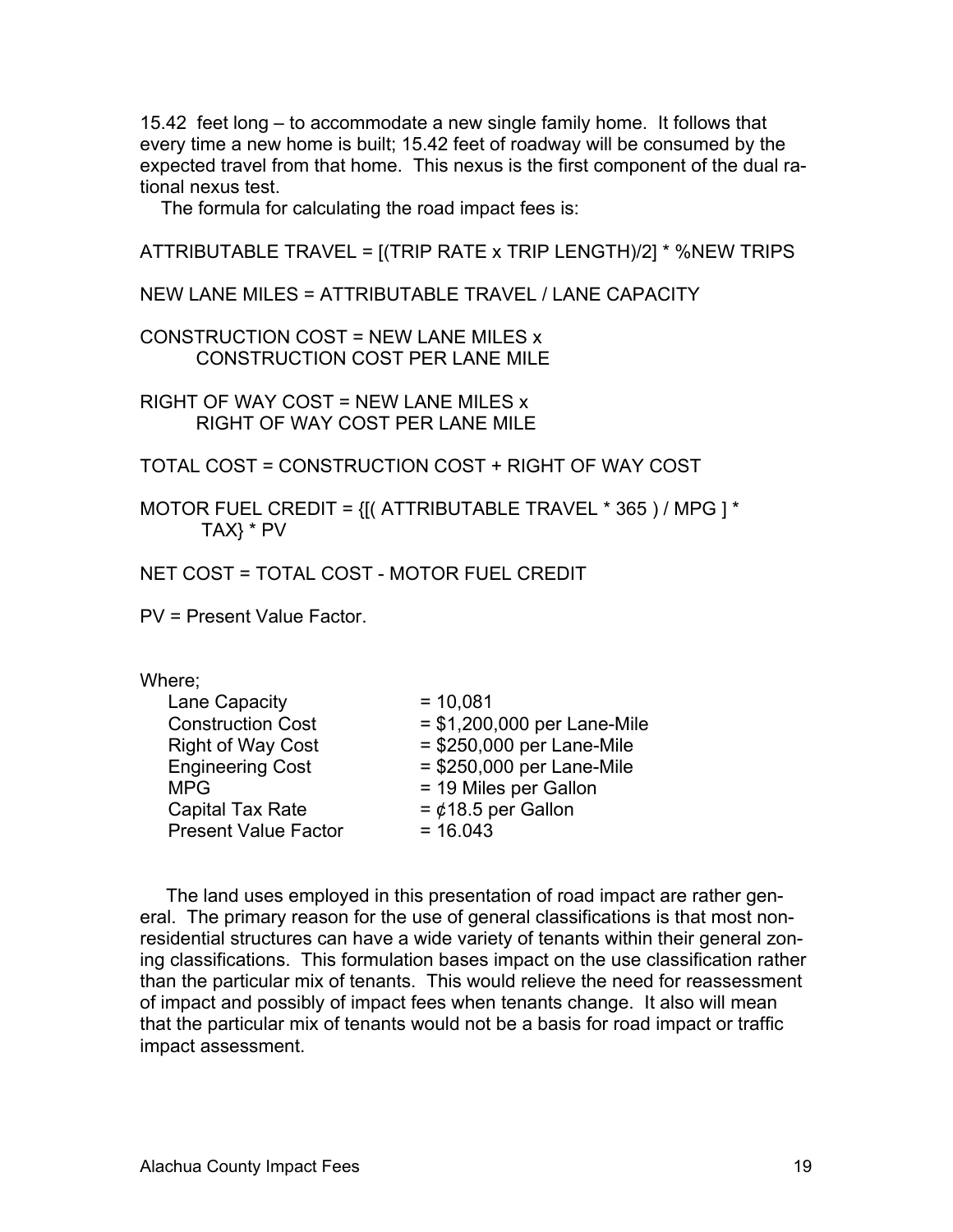15.42 feet long – to accommodate a new single family home. It follows that every time a new home is built; 15.42 feet of roadway will be consumed by the expected travel from that home. This nexus is the first component of the dual rational nexus test.

The formula for calculating the road impact fees is:

ATTRIBUTABLE TRAVEL = [(TRIP RATE x TRIP LENGTH)/2] \* %NEW TRIPS

NEW LANE MILES = ATTRIBUTABLE TRAVEL / LANE CAPACITY

CONSTRUCTION COST = NEW LANE MILES x CONSTRUCTION COST PER LANE MILE

RIGHT OF WAY COST = NEW LANE MILES x RIGHT OF WAY COST PER LANE MILE

TOTAL COST = CONSTRUCTION COST + RIGHT OF WAY COST

MOTOR FUEL CREDIT = {[( ATTRIBUTABLE TRAVEL \* 365 ) / MPG ] \* TAX} \* PV

NET COST = TOTAL COST - MOTOR FUEL CREDIT

PV = Present Value Factor.

#### Where;

| Lane Capacity<br><b>Construction Cost</b><br><b>Right of Way Cost</b><br><b>Engineering Cost</b><br><b>MPG</b><br><b>Capital Tax Rate</b><br><b>Present Value Factor</b> | $= 10,081$<br>= \$1,200,000 per Lane-Mile<br>= \$250,000 per Lane-Mile<br>= \$250,000 per Lane-Mile<br>= 19 Miles per Gallon<br>$=$ ¢18.5 per Gallon<br>$= 16.043$ |
|--------------------------------------------------------------------------------------------------------------------------------------------------------------------------|--------------------------------------------------------------------------------------------------------------------------------------------------------------------|
|                                                                                                                                                                          |                                                                                                                                                                    |
|                                                                                                                                                                          |                                                                                                                                                                    |

 The land uses employed in this presentation of road impact are rather general. The primary reason for the use of general classifications is that most nonresidential structures can have a wide variety of tenants within their general zoning classifications. This formulation bases impact on the use classification rather than the particular mix of tenants. This would relieve the need for reassessment of impact and possibly of impact fees when tenants change. It also will mean that the particular mix of tenants would not be a basis for road impact or traffic impact assessment.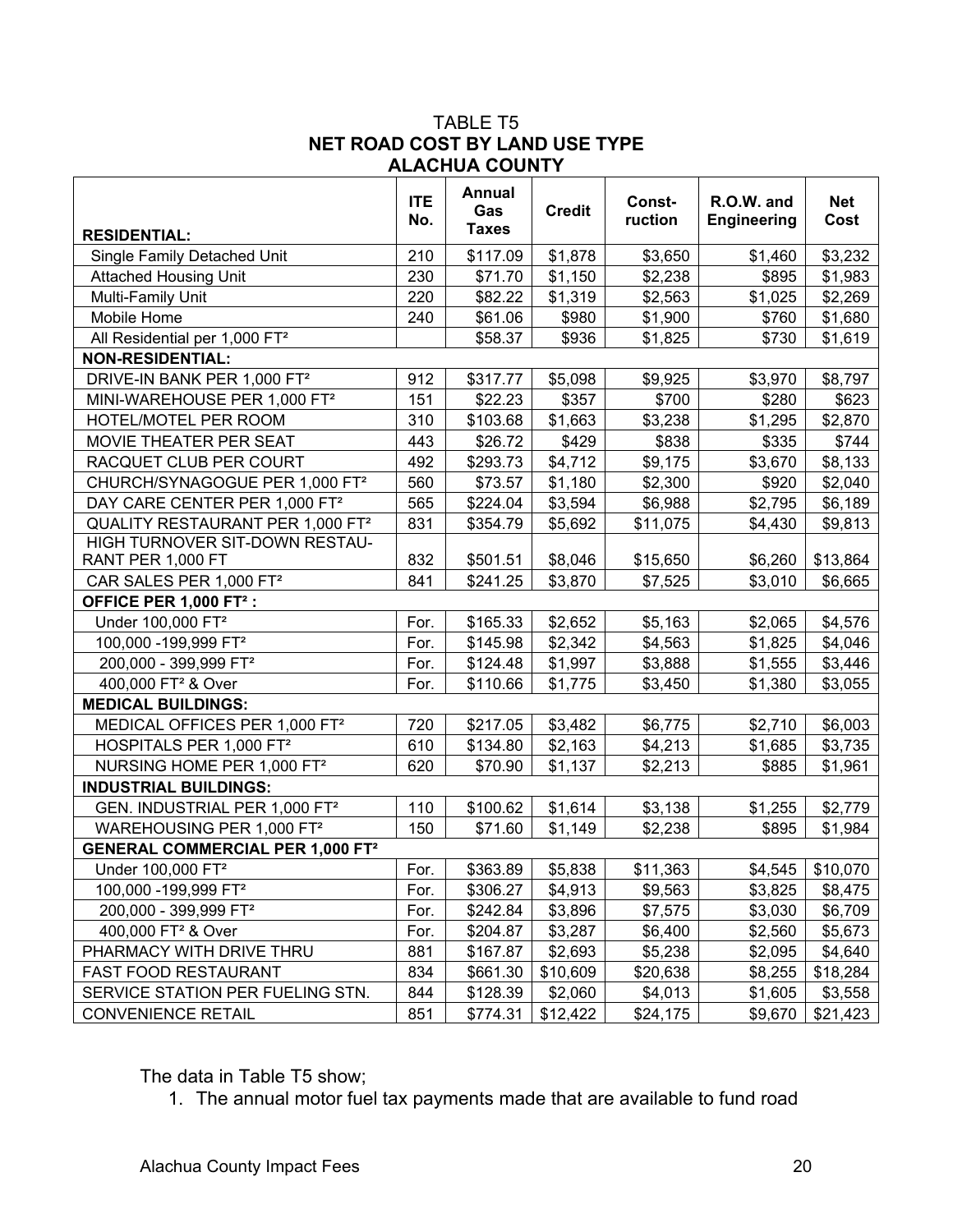#### TABLE T5 **NET ROAD COST BY LAND USE TYPE ALACHUA COUNTY**

| <b>RESIDENTIAL:</b>                          | <b>ITE</b><br>No. | <b>Annual</b><br>Gas<br><b>Taxes</b> | <b>Credit</b> | Const-<br>ruction | R.O.W. and<br><b>Engineering</b> | <b>Net</b><br>Cost |
|----------------------------------------------|-------------------|--------------------------------------|---------------|-------------------|----------------------------------|--------------------|
| Single Family Detached Unit                  | 210               | \$117.09                             | \$1,878       | \$3,650           | \$1,460                          | \$3,232            |
| <b>Attached Housing Unit</b>                 | 230               | \$71.70                              | \$1,150       | \$2,238           | \$895                            | \$1,983            |
| Multi-Family Unit                            | 220               | \$82.22                              | \$1,319       | \$2,563           | \$1,025                          | \$2,269            |
| Mobile Home                                  | 240               | \$61.06                              | \$980         | \$1,900           | \$760                            | \$1,680            |
| All Residential per 1,000 FT <sup>2</sup>    |                   | \$58.37                              | \$936         | \$1,825           | \$730                            | \$1,619            |
| <b>NON-RESIDENTIAL:</b>                      |                   |                                      |               |                   |                                  |                    |
| DRIVE-IN BANK PER 1,000 FT <sup>2</sup>      | 912               | \$317.77                             | \$5,098       | \$9,925           | \$3,970                          | \$8,797            |
| MINI-WAREHOUSE PER 1,000 FT <sup>2</sup>     | 151               | \$22.23                              | \$357         | \$700             | \$280                            | \$623              |
| HOTEL/MOTEL PER ROOM                         | 310               | \$103.68                             | \$1,663       | \$3,238           | \$1,295                          | \$2,870            |
| MOVIE THEATER PER SEAT                       | 443               | \$26.72                              | \$429         | \$838             | \$335                            | \$744              |
| RACQUET CLUB PER COURT                       | 492               | \$293.73                             | \$4,712       | \$9,175           | \$3,670                          | \$8,133            |
| CHURCH/SYNAGOGUE PER 1,000 FT <sup>2</sup>   | 560               | \$73.57                              | \$1,180       | \$2,300           | \$920                            | \$2,040            |
| DAY CARE CENTER PER 1,000 FT <sup>2</sup>    | 565               | \$224.04                             | \$3,594       | \$6,988           | \$2,795                          | \$6,189            |
| QUALITY RESTAURANT PER 1,000 FT <sup>2</sup> | 831               | \$354.79                             | \$5,692       | \$11,075          | \$4,430                          | \$9,813            |
| HIGH TURNOVER SIT-DOWN RESTAU-               |                   |                                      |               |                   |                                  |                    |
| RANT PER 1,000 FT                            | 832               | \$501.51                             | \$8,046       | \$15,650          | \$6,260                          | \$13,864           |
| CAR SALES PER 1,000 FT <sup>2</sup>          | 841               | \$241.25                             | \$3,870       | \$7,525           | \$3,010                          | \$6,665            |
| OFFICE PER 1,000 FT <sup>2</sup> :           |                   |                                      |               |                   |                                  |                    |
| Under 100,000 FT <sup>2</sup>                | For.              | \$165.33                             | \$2,652       | \$5,163           | \$2,065                          | \$4,576            |
| 100,000 - 199,999 FT <sup>2</sup>            | For.              | \$145.98                             | \$2,342       | \$4,563           | \$1,825                          | \$4,046            |
| 200,000 - 399,999 FT <sup>2</sup>            | For.              | \$124.48                             | \$1,997       | \$3,888           | \$1,555                          | \$3,446            |
| 400,000 FT <sup>2</sup> & Over               | For.              | \$110.66                             | \$1,775       | \$3,450           | \$1,380                          | \$3,055            |
| <b>MEDICAL BUILDINGS:</b>                    |                   |                                      |               |                   |                                  |                    |
| MEDICAL OFFICES PER 1,000 FT <sup>2</sup>    | 720               | \$217.05                             | \$3,482       | \$6,775           | \$2,710                          | \$6,003            |
| HOSPITALS PER 1,000 FT <sup>2</sup>          | 610               | \$134.80                             | \$2,163       | \$4,213           | \$1,685                          | \$3,735            |
| NURSING HOME PER 1,000 FT <sup>2</sup>       | 620               | \$70.90                              | \$1,137       | \$2,213           | \$885                            | \$1,961            |
| <b>INDUSTRIAL BUILDINGS:</b>                 |                   |                                      |               |                   |                                  |                    |
| GEN. INDUSTRIAL PER 1,000 FT <sup>2</sup>    | 110               | \$100.62                             | \$1,614       | \$3,138           | \$1,255                          | \$2,779            |
| WAREHOUSING PER 1,000 FT <sup>2</sup>        | 150               | \$71.60                              | \$1,149       | \$2,238           | \$895                            | \$1,984            |
| <b>GENERAL COMMERCIAL PER 1,000 FT2</b>      |                   |                                      |               |                   |                                  |                    |
| Under 100,000 FT <sup>2</sup>                | For.              | \$363.89                             | \$5,838       | \$11,363          | \$4,545                          | \$10,070           |
| 100,000 -199,999 FT <sup>2</sup>             | For.              | \$306.27                             | \$4,913       | \$9,563           | \$3,825                          | \$8,475            |
| 200,000 - 399,999 FT <sup>2</sup>            | For.              | \$242.84                             | \$3,896       | \$7,575           | \$3,030                          | \$6,709            |
| 400,000 FT <sup>2</sup> & Over               | For.              | \$204.87                             | \$3,287       | \$6,400           | \$2,560                          | \$5,673            |
| PHARMACY WITH DRIVE THRU                     | 881               | \$167.87                             | \$2,693       | \$5,238           | \$2,095                          | \$4,640            |
| FAST FOOD RESTAURANT                         | 834               | \$661.30                             | \$10,609      | \$20,638          | \$8,255                          | \$18,284           |
| SERVICE STATION PER FUELING STN.             | 844               | \$128.39                             | \$2,060       | \$4,013           | \$1,605                          | \$3,558            |
| <b>CONVENIENCE RETAIL</b>                    | 851               | \$774.31                             | \$12,422      | \$24,175          | \$9,670                          | \$21,423           |

The data in Table T5 show;

1. The annual motor fuel tax payments made that are available to fund road